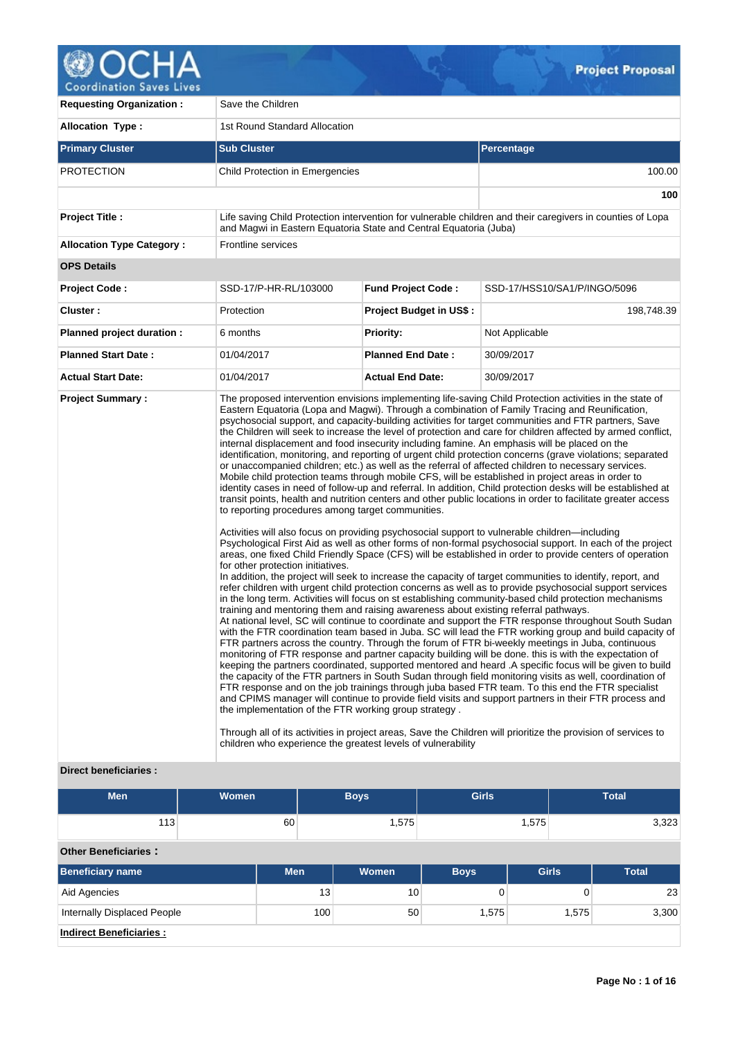

| <b>Requesting Organization:</b>               | Save the Children                                                                                                                                                                                                                                                                                                                                                                                       |                                |                                                                                                                                                                                                                                                                                                                                                                                                                                                                                                                                                                                                                                                                                                                                                                                                                                                                                                                                                                                                                                                                                                                                                                                                                                                                                                                                                                                                                                                                                                                                                                                                                                                                                                                                                                                                                                                                                                                                                                                                                                                                                                                                                                                                                                                                                                                                                                                                                                                                                                                                                                                                                                                       |  |  |  |  |  |
|-----------------------------------------------|---------------------------------------------------------------------------------------------------------------------------------------------------------------------------------------------------------------------------------------------------------------------------------------------------------------------------------------------------------------------------------------------------------|--------------------------------|-------------------------------------------------------------------------------------------------------------------------------------------------------------------------------------------------------------------------------------------------------------------------------------------------------------------------------------------------------------------------------------------------------------------------------------------------------------------------------------------------------------------------------------------------------------------------------------------------------------------------------------------------------------------------------------------------------------------------------------------------------------------------------------------------------------------------------------------------------------------------------------------------------------------------------------------------------------------------------------------------------------------------------------------------------------------------------------------------------------------------------------------------------------------------------------------------------------------------------------------------------------------------------------------------------------------------------------------------------------------------------------------------------------------------------------------------------------------------------------------------------------------------------------------------------------------------------------------------------------------------------------------------------------------------------------------------------------------------------------------------------------------------------------------------------------------------------------------------------------------------------------------------------------------------------------------------------------------------------------------------------------------------------------------------------------------------------------------------------------------------------------------------------------------------------------------------------------------------------------------------------------------------------------------------------------------------------------------------------------------------------------------------------------------------------------------------------------------------------------------------------------------------------------------------------------------------------------------------------------------------------------------------------|--|--|--|--|--|
| <b>Allocation Type:</b>                       | 1st Round Standard Allocation                                                                                                                                                                                                                                                                                                                                                                           |                                |                                                                                                                                                                                                                                                                                                                                                                                                                                                                                                                                                                                                                                                                                                                                                                                                                                                                                                                                                                                                                                                                                                                                                                                                                                                                                                                                                                                                                                                                                                                                                                                                                                                                                                                                                                                                                                                                                                                                                                                                                                                                                                                                                                                                                                                                                                                                                                                                                                                                                                                                                                                                                                                       |  |  |  |  |  |
| <b>Primary Cluster</b>                        | <b>Sub Cluster</b>                                                                                                                                                                                                                                                                                                                                                                                      |                                | <b>Percentage</b>                                                                                                                                                                                                                                                                                                                                                                                                                                                                                                                                                                                                                                                                                                                                                                                                                                                                                                                                                                                                                                                                                                                                                                                                                                                                                                                                                                                                                                                                                                                                                                                                                                                                                                                                                                                                                                                                                                                                                                                                                                                                                                                                                                                                                                                                                                                                                                                                                                                                                                                                                                                                                                     |  |  |  |  |  |
| <b>PROTECTION</b>                             | Child Protection in Emergencies                                                                                                                                                                                                                                                                                                                                                                         |                                | 100.00                                                                                                                                                                                                                                                                                                                                                                                                                                                                                                                                                                                                                                                                                                                                                                                                                                                                                                                                                                                                                                                                                                                                                                                                                                                                                                                                                                                                                                                                                                                                                                                                                                                                                                                                                                                                                                                                                                                                                                                                                                                                                                                                                                                                                                                                                                                                                                                                                                                                                                                                                                                                                                                |  |  |  |  |  |
|                                               |                                                                                                                                                                                                                                                                                                                                                                                                         |                                | 100                                                                                                                                                                                                                                                                                                                                                                                                                                                                                                                                                                                                                                                                                                                                                                                                                                                                                                                                                                                                                                                                                                                                                                                                                                                                                                                                                                                                                                                                                                                                                                                                                                                                                                                                                                                                                                                                                                                                                                                                                                                                                                                                                                                                                                                                                                                                                                                                                                                                                                                                                                                                                                                   |  |  |  |  |  |
| <b>Project Title:</b>                         | and Magwi in Eastern Equatoria State and Central Equatoria (Juba)                                                                                                                                                                                                                                                                                                                                       |                                | Life saving Child Protection intervention for vulnerable children and their caregivers in counties of Lopa                                                                                                                                                                                                                                                                                                                                                                                                                                                                                                                                                                                                                                                                                                                                                                                                                                                                                                                                                                                                                                                                                                                                                                                                                                                                                                                                                                                                                                                                                                                                                                                                                                                                                                                                                                                                                                                                                                                                                                                                                                                                                                                                                                                                                                                                                                                                                                                                                                                                                                                                            |  |  |  |  |  |
| <b>Allocation Type Category:</b>              | <b>Frontline services</b>                                                                                                                                                                                                                                                                                                                                                                               |                                |                                                                                                                                                                                                                                                                                                                                                                                                                                                                                                                                                                                                                                                                                                                                                                                                                                                                                                                                                                                                                                                                                                                                                                                                                                                                                                                                                                                                                                                                                                                                                                                                                                                                                                                                                                                                                                                                                                                                                                                                                                                                                                                                                                                                                                                                                                                                                                                                                                                                                                                                                                                                                                                       |  |  |  |  |  |
| <b>OPS Details</b>                            |                                                                                                                                                                                                                                                                                                                                                                                                         |                                |                                                                                                                                                                                                                                                                                                                                                                                                                                                                                                                                                                                                                                                                                                                                                                                                                                                                                                                                                                                                                                                                                                                                                                                                                                                                                                                                                                                                                                                                                                                                                                                                                                                                                                                                                                                                                                                                                                                                                                                                                                                                                                                                                                                                                                                                                                                                                                                                                                                                                                                                                                                                                                                       |  |  |  |  |  |
| <b>Project Code:</b>                          | SSD-17/P-HR-RL/103000                                                                                                                                                                                                                                                                                                                                                                                   | <b>Fund Project Code:</b>      | SSD-17/HSS10/SA1/P/INGO/5096                                                                                                                                                                                                                                                                                                                                                                                                                                                                                                                                                                                                                                                                                                                                                                                                                                                                                                                                                                                                                                                                                                                                                                                                                                                                                                                                                                                                                                                                                                                                                                                                                                                                                                                                                                                                                                                                                                                                                                                                                                                                                                                                                                                                                                                                                                                                                                                                                                                                                                                                                                                                                          |  |  |  |  |  |
| Cluster:                                      | Protection                                                                                                                                                                                                                                                                                                                                                                                              | <b>Project Budget in US\$:</b> | 198,748.39                                                                                                                                                                                                                                                                                                                                                                                                                                                                                                                                                                                                                                                                                                                                                                                                                                                                                                                                                                                                                                                                                                                                                                                                                                                                                                                                                                                                                                                                                                                                                                                                                                                                                                                                                                                                                                                                                                                                                                                                                                                                                                                                                                                                                                                                                                                                                                                                                                                                                                                                                                                                                                            |  |  |  |  |  |
| Planned project duration :                    | 6 months                                                                                                                                                                                                                                                                                                                                                                                                | <b>Priority:</b>               | Not Applicable                                                                                                                                                                                                                                                                                                                                                                                                                                                                                                                                                                                                                                                                                                                                                                                                                                                                                                                                                                                                                                                                                                                                                                                                                                                                                                                                                                                                                                                                                                                                                                                                                                                                                                                                                                                                                                                                                                                                                                                                                                                                                                                                                                                                                                                                                                                                                                                                                                                                                                                                                                                                                                        |  |  |  |  |  |
| <b>Planned Start Date:</b>                    | 01/04/2017                                                                                                                                                                                                                                                                                                                                                                                              | <b>Planned End Date:</b>       | 30/09/2017                                                                                                                                                                                                                                                                                                                                                                                                                                                                                                                                                                                                                                                                                                                                                                                                                                                                                                                                                                                                                                                                                                                                                                                                                                                                                                                                                                                                                                                                                                                                                                                                                                                                                                                                                                                                                                                                                                                                                                                                                                                                                                                                                                                                                                                                                                                                                                                                                                                                                                                                                                                                                                            |  |  |  |  |  |
| <b>Actual Start Date:</b>                     | 01/04/2017                                                                                                                                                                                                                                                                                                                                                                                              | <b>Actual End Date:</b>        | 30/09/2017                                                                                                                                                                                                                                                                                                                                                                                                                                                                                                                                                                                                                                                                                                                                                                                                                                                                                                                                                                                                                                                                                                                                                                                                                                                                                                                                                                                                                                                                                                                                                                                                                                                                                                                                                                                                                                                                                                                                                                                                                                                                                                                                                                                                                                                                                                                                                                                                                                                                                                                                                                                                                                            |  |  |  |  |  |
| <b>Project Summary:</b><br>Divaat banafiaiaui | to reporting procedures among target communities.<br>Activities will also focus on providing psychosocial support to vulnerable children—including<br>for other protection initiatives.<br>training and mentoring them and raising awareness about existing referral pathways.<br>the implementation of the FTR working group strategy.<br>children who experience the greatest levels of vulnerability |                                | The proposed intervention envisions implementing life-saving Child Protection activities in the state of<br>Eastern Equatoria (Lopa and Magwi). Through a combination of Family Tracing and Reunification,<br>psychosocial support, and capacity-building activities for target communities and FTR partners, Save<br>the Children will seek to increase the level of protection and care for children affected by armed conflict,<br>internal displacement and food insecurity including famine. An emphasis will be placed on the<br>identification, monitoring, and reporting of urgent child protection concerns (grave violations; separated<br>or unaccompanied children; etc.) as well as the referral of affected children to necessary services.<br>Mobile child protection teams through mobile CFS, will be established in project areas in order to<br>identity cases in need of follow-up and referral. In addition, Child protection desks will be established at<br>transit points, health and nutrition centers and other public locations in order to facilitate greater access<br>Psychological First Aid as well as other forms of non-formal psychosocial support. In each of the project<br>areas, one fixed Child Friendly Space (CFS) will be established in order to provide centers of operation<br>In addition, the project will seek to increase the capacity of target communities to identify, report, and<br>refer children with urgent child protection concerns as well as to provide psychosocial support services<br>in the long term. Activities will focus on st establishing community-based child protection mechanisms<br>At national level, SC will continue to coordinate and support the FTR response throughout South Sudan<br>with the FTR coordination team based in Juba. SC will lead the FTR working group and build capacity of<br>FTR partners across the country. Through the forum of FTR bi-weekly meetings in Juba, continuous<br>monitoring of FTR response and partner capacity building will be done. this is with the expectation of<br>keeping the partners coordinated, supported mentored and heard .A specific focus will be given to build<br>the capacity of the FTR partners in South Sudan through field monitoring visits as well, coordination of<br>FTR response and on the job trainings through juba based FTR team. To this end the FTR specialist<br>and CPIMS manager will continue to provide field visits and support partners in their FTR process and<br>Through all of its activities in project areas, Save the Children will prioritize the provision of services to |  |  |  |  |  |

## **Direct beneficiaries :**

| <b>Men</b>                         | <b>Women</b> |            |     | <b>Boys</b>  | <b>Girls</b> |              |       | <b>Total</b> |
|------------------------------------|--------------|------------|-----|--------------|--------------|--------------|-------|--------------|
| 113                                |              | 60         |     | 1,575        |              | 1,575        |       | 3,323        |
| <b>Other Beneficiaries:</b>        |              |            |     |              |              |              |       |              |
| <b>Beneficiary name</b>            |              | <b>Men</b> |     | <b>Women</b> | <b>Boys</b>  | <b>Girls</b> |       | <b>Total</b> |
| Aid Agencies                       |              |            | 13  | 10           | 0            |              | 0     | 23           |
| <b>Internally Displaced People</b> |              |            | 100 | 50           | 1,575        |              | 1,575 | 3,300        |
| <b>Indirect Beneficiaries:</b>     |              |            |     |              |              |              |       |              |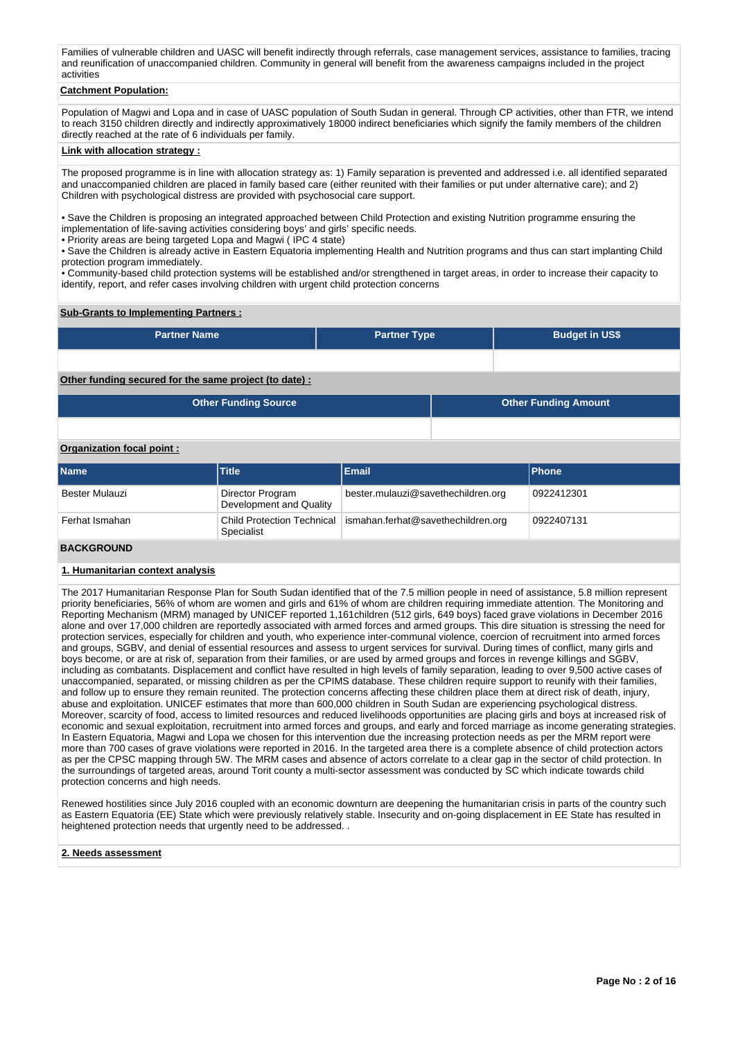Families of vulnerable children and UASC will benefit indirectly through referrals, case management services, assistance to families, tracing and reunification of unaccompanied children. Community in general will benefit from the awareness campaigns included in the project activities

# **Catchment Population:**

Population of Magwi and Lopa and in case of UASC population of South Sudan in general. Through CP activities, other than FTR, we intend to reach 3150 children directly and indirectly approximatively 18000 indirect beneficiaries which signify the family members of the children directly reached at the rate of 6 individuals per family.

#### **Link with allocation strategy :**

The proposed programme is in line with allocation strategy as: 1) Family separation is prevented and addressed i.e. all identified separated and unaccompanied children are placed in family based care (either reunited with their families or put under alternative care); and 2) Children with psychological distress are provided with psychosocial care support.

• Save the Children is proposing an integrated approached between Child Protection and existing Nutrition programme ensuring the implementation of life-saving activities considering boys' and girls' specific needs.

• Priority areas are being targeted Lopa and Magwi (IPC 4 state)

· Save the Children is already active in Eastern Equatoria implementing Health and Nutrition programs and thus can start implanting Child protection program immediately.

• Community-based child protection systems will be established and/or strengthened in target areas, in order to increase their capacity to identify, report, and refer cases involving children with urgent child protection concerns

### **Sub-Grants to Implementing Partners :**

| <b>Partner Name</b> | <b>Partner Type</b> | <b>Budget in US\$</b> |
|---------------------|---------------------|-----------------------|
|                     |                     |                       |

### **Other funding secured for the same project (to date) :**

| <b>Other Funding Source</b> | <b>Other Funding Amount</b> |
|-----------------------------|-----------------------------|
|                             |                             |

#### **Organization focal point :**

| Name           | <b>Title</b>                                | <b>Email</b>                                                    | <b>Phone</b> |
|----------------|---------------------------------------------|-----------------------------------------------------------------|--------------|
| Bester Mulauzi | Director Program<br>Development and Quality | bester.mulauzi@savethechildren.org                              | 0922412301   |
| Ferhat Ismahan | Specialist                                  | Child Protection Technical   ismahan.ferhat@savethechildren.org | 0922407131   |

# **BACKGROUND**

#### **1. Humanitarian context analysis**

The 2017 Humanitarian Response Plan for South Sudan identified that of the 7.5 million people in need of assistance, 5.8 million represent priority beneficiaries, 56% of whom are women and girls and 61% of whom are children requiring immediate attention. The Monitoring and Reporting Mechanism (MRM) managed by UNICEF reported 1,161children (512 girls, 649 boys) faced grave violations in December 2016 alone and over 17,000 children are reportedly associated with armed forces and armed groups. This dire situation is stressing the need for protection services, especially for children and youth, who experience inter-communal violence, coercion of recruitment into armed forces and groups, SGBV, and denial of essential resources and assess to urgent services for survival. During times of conflict, many girls and boys become, or are at risk of, separation from their families, or are used by armed groups and forces in revenge killings and SGBV, including as combatants. Displacement and conflict have resulted in high levels of family separation, leading to over 9,500 active cases of unaccompanied, separated, or missing children as per the CPIMS database. These children require support to reunify with their families, and follow up to ensure they remain reunited. The protection concerns affecting these children place them at direct risk of death, injury, abuse and exploitation. UNICEF estimates that more than 600,000 children in South Sudan are experiencing psychological distress. Moreover, scarcity of food, access to limited resources and reduced livelihoods opportunities are placing girls and boys at increased risk of economic and sexual exploitation, recruitment into armed forces and groups, and early and forced marriage as income generating strategies. In Eastern Equatoria, Magwi and Lopa we chosen for this intervention due the increasing protection needs as per the MRM report were more than 700 cases of grave violations were reported in 2016. In the targeted area there is a complete absence of child protection actors as per the CPSC mapping through 5W. The MRM cases and absence of actors correlate to a clear gap in the sector of child protection. In the surroundings of targeted areas, around Torit county a multi-sector assessment was conducted by SC which indicate towards child protection concerns and high needs.

Renewed hostilities since July 2016 coupled with an economic downturn are deepening the humanitarian crisis in parts of the country such as Eastern Equatoria (EE) State which were previously relatively stable. Insecurity and on-going displacement in EE State has resulted in heightened protection needs that urgently need to be addressed. .

#### **2. Needs assessment**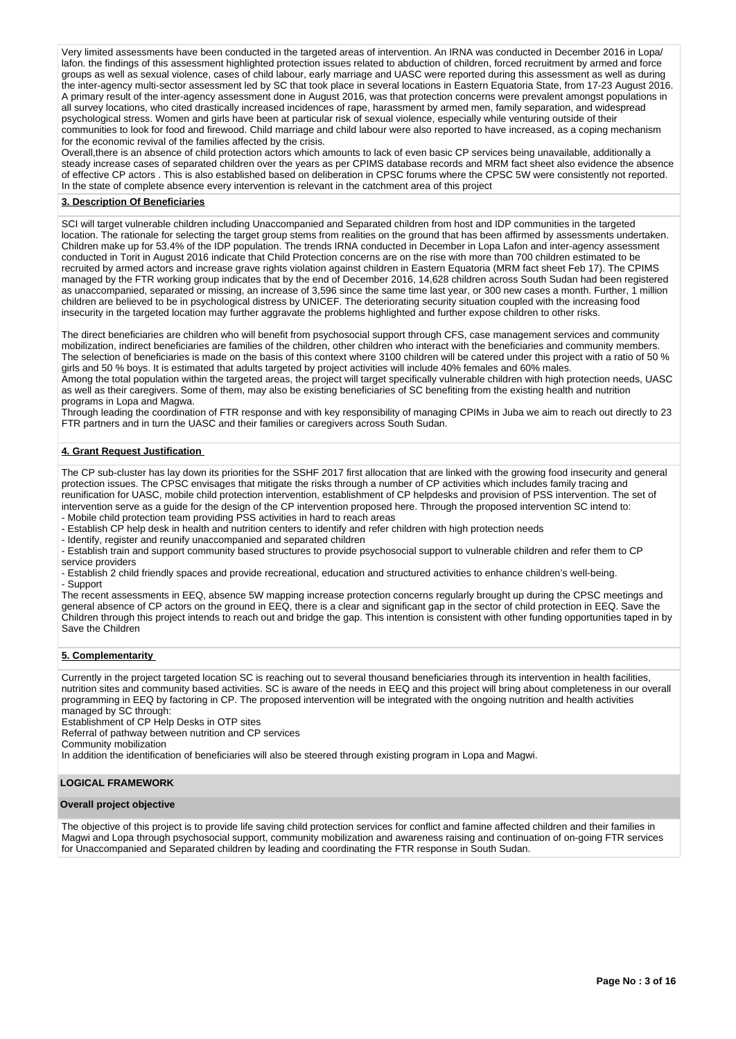Very limited assessments have been conducted in the targeted areas of intervention. An IRNA was conducted in December 2016 in Lopa/ lafon. the findings of this assessment highlighted protection issues related to abduction of children, forced recruitment by armed and force groups as well as sexual violence, cases of child labour, early marriage and UASC were reported during this assessment as well as during the inter-agency multi-sector assessment led by SC that took place in several locations in Eastern Equatoria State, from 17-23 August 2016. A primary result of the inter-agency assessment done in August 2016, was that protection concerns were prevalent amongst populations in all survey locations, who cited drastically increased incidences of rape, harassment by armed men, family separation, and widespread psychological stress. Women and girls have been at particular risk of sexual violence, especially while venturing outside of their communities to look for food and firewood. Child marriage and child labour were also reported to have increased, as a coping mechanism for the economic revival of the families affected by the crisis.

Overall,there is an absence of child protection actors which amounts to lack of even basic CP services being unavailable, additionally a steady increase cases of separated children over the years as per CPIMS database records and MRM fact sheet also evidence the absence of effective CP actors . This is also established based on deliberation in CPSC forums where the CPSC 5W were consistently not reported. In the state of complete absence every intervention is relevant in the catchment area of this project

### **3. Description Of Beneficiaries**

SCI will target vulnerable children including Unaccompanied and Separated children from host and IDP communities in the targeted location. The rationale for selecting the target group stems from realities on the ground that has been affirmed by assessments undertaken. Children make up for 53.4% of the IDP population. The trends IRNA conducted in December in Lopa Lafon and inter-agency assessment conducted in Torit in August 2016 indicate that Child Protection concerns are on the rise with more than 700 children estimated to be recruited by armed actors and increase grave rights violation against children in Eastern Equatoria (MRM fact sheet Feb 17). The CPIMS managed by the FTR working group indicates that by the end of December 2016, 14,628 children across South Sudan had been registered as unaccompanied, separated or missing, an increase of 3,596 since the same time last year, or 300 new cases a month. Further, 1 million children are believed to be in psychological distress by UNICEF. The deteriorating security situation coupled with the increasing food insecurity in the targeted location may further aggravate the problems highlighted and further expose children to other risks.

The direct beneficiaries are children who will benefit from psychosocial support through CFS, case management services and community mobilization, indirect beneficiaries are families of the children, other children who interact with the beneficiaries and community members. The selection of beneficiaries is made on the basis of this context where 3100 children will be catered under this project with a ratio of 50 % girls and 50 % boys. It is estimated that adults targeted by project activities will include 40% females and 60% males.

Among the total population within the targeted areas, the project will target specifically vulnerable children with high protection needs, UASC as well as their caregivers. Some of them, may also be existing beneficiaries of SC benefiting from the existing health and nutrition programs in Lopa and Magwa.

Through leading the coordination of FTR response and with key responsibility of managing CPIMs in Juba we aim to reach out directly to 23 FTR partners and in turn the UASC and their families or caregivers across South Sudan.

## **4. Grant Request Justification**

The CP sub-cluster has lay down its priorities for the SSHF 2017 first allocation that are linked with the growing food insecurity and general protection issues. The CPSC envisages that mitigate the risks through a number of CP activities which includes family tracing and reunification for UASC, mobile child protection intervention, establishment of CP helpdesks and provision of PSS intervention. The set of intervention serve as a guide for the design of the CP intervention proposed here. Through the proposed intervention SC intend to:

- Mobile child protection team providing PSS activities in hard to reach areas

- Establish CP help desk in health and nutrition centers to identify and refer children with high protection needs

- Identify, register and reunify unaccompanied and separated children

- Establish train and support community based structures to provide psychosocial support to vulnerable children and refer them to CP service providers

- Establish 2 child friendly spaces and provide recreational, education and structured activities to enhance children's well-being. - Support

The recent assessments in EEQ, absence 5W mapping increase protection concerns regularly brought up during the CPSC meetings and general absence of CP actors on the ground in EEQ, there is a clear and significant gap in the sector of child protection in EEQ. Save the Children through this project intends to reach out and bridge the gap. This intention is consistent with other funding opportunities taped in by Save the Children

#### **5. Complementarity**

Currently in the project targeted location SC is reaching out to several thousand beneficiaries through its intervention in health facilities, nutrition sites and community based activities. SC is aware of the needs in EEQ and this project will bring about completeness in our overall programming in EEQ by factoring in CP. The proposed intervention will be integrated with the ongoing nutrition and health activities managed by SC through:

Establishment of CP Help Desks in OTP sites

Referral of pathway between nutrition and CP services

Community mobilization

In addition the identification of beneficiaries will also be steered through existing program in Lopa and Magwi.

### **LOGICAL FRAMEWORK**

#### **Overall project objective**

The objective of this project is to provide life saving child protection services for conflict and famine affected children and their families in Magwi and Lopa through psychosocial support, community mobilization and awareness raising and continuation of on-going FTR services for Unaccompanied and Separated children by leading and coordinating the FTR response in South Sudan.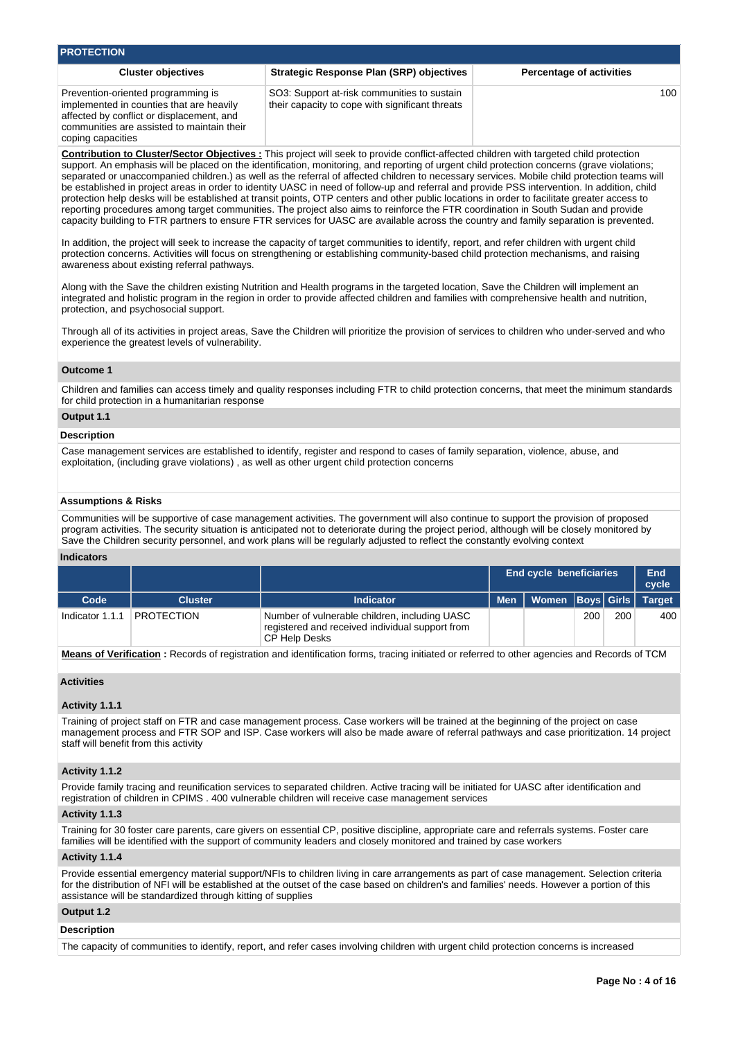| <b>PROTECTION</b>                                                                                                                                                                              |                                                                                                |                                 |
|------------------------------------------------------------------------------------------------------------------------------------------------------------------------------------------------|------------------------------------------------------------------------------------------------|---------------------------------|
| <b>Cluster objectives</b>                                                                                                                                                                      | <b>Strategic Response Plan (SRP) objectives</b>                                                | <b>Percentage of activities</b> |
| Prevention-oriented programming is<br>implemented in counties that are heavily<br>affected by conflict or displacement, and<br>communities are assisted to maintain their<br>coping capacities | SO3: Support at-risk communities to sustain<br>their capacity to cope with significant threats | 100                             |

**Contribution to Cluster/Sector Objectives :** This project will seek to provide conflict-affected children with targeted child protection support. An emphasis will be placed on the identification, monitoring, and reporting of urgent child protection concerns (grave violations; separated or unaccompanied children.) as well as the referral of affected children to necessary services. Mobile child protection teams will be established in project areas in order to identity UASC in need of follow-up and referral and provide PSS intervention. In addition, child protection help desks will be established at transit points, OTP centers and other public locations in order to facilitate greater access to reporting procedures among target communities. The project also aims to reinforce the FTR coordination in South Sudan and provide capacity building to FTR partners to ensure FTR services for UASC are available across the country and family separation is prevented.

In addition, the project will seek to increase the capacity of target communities to identify, report, and refer children with urgent child protection concerns. Activities will focus on strengthening or establishing community-based child protection mechanisms, and raising awareness about existing referral pathways.

Along with the Save the children existing Nutrition and Health programs in the targeted location, Save the Children will implement an integrated and holistic program in the region in order to provide affected children and families with comprehensive health and nutrition, protection, and psychosocial support.

Through all of its activities in project areas, Save the Children will prioritize the provision of services to children who under-served and who experience the greatest levels of vulnerability.

### **Outcome 1**

Children and families can access timely and quality responses including FTR to child protection concerns, that meet the minimum standards for child protection in a humanitarian response

### **Output 1.1**

#### **Description**

Case management services are established to identify, register and respond to cases of family separation, violence, abuse, and exploitation, (including grave violations) , as well as other urgent child protection concerns

### **Assumptions & Risks**

Communities will be supportive of case management activities. The government will also continue to support the provision of proposed program activities. The security situation is anticipated not to deteriorate during the project period, although will be closely monitored by Save the Children security personnel, and work plans will be regularly adjusted to reflect the constantly evolving context

#### **Indicators**

|                 |                   |                                                                                                                   | <b>End cycle beneficiaries</b> | End<br>cycle         |     |     |               |
|-----------------|-------------------|-------------------------------------------------------------------------------------------------------------------|--------------------------------|----------------------|-----|-----|---------------|
| Code            | <b>Cluster</b>    | <b>Indicator</b>                                                                                                  | <b>Men</b>                     | Women   Boys   Girls |     |     | <b>Target</b> |
| Indicator 1.1.1 | <b>PROTECTION</b> | Number of vulnerable children, including UASC<br>registered and received individual support from<br>CP Help Desks |                                |                      | 200 | 200 | 400           |

**Means of Verification :** Records of registration and identification forms, tracing initiated or referred to other agencies and Records of TCM

### **Activities**

### **Activity 1.1.1**

Training of project staff on FTR and case management process. Case workers will be trained at the beginning of the project on case management process and FTR SOP and ISP. Case workers will also be made aware of referral pathways and case prioritization. 14 project staff will benefit from this activity

### **Activity 1.1.2**

Provide family tracing and reunification services to separated children. Active tracing will be initiated for UASC after identification and registration of children in CPIMS . 400 vulnerable children will receive case management services

### **Activity 1.1.3**

Training for 30 foster care parents, care givers on essential CP, positive discipline, appropriate care and referrals systems. Foster care families will be identified with the support of community leaders and closely monitored and trained by case workers

### **Activity 1.1.4**

Provide essential emergency material support/NFIs to children living in care arrangements as part of case management. Selection criteria for the distribution of NFI will be established at the outset of the case based on children's and families' needs. However a portion of this assistance will be standardized through kitting of supplies

# **Output 1.2**

#### **Description**

The capacity of communities to identify, report, and refer cases involving children with urgent child protection concerns is increased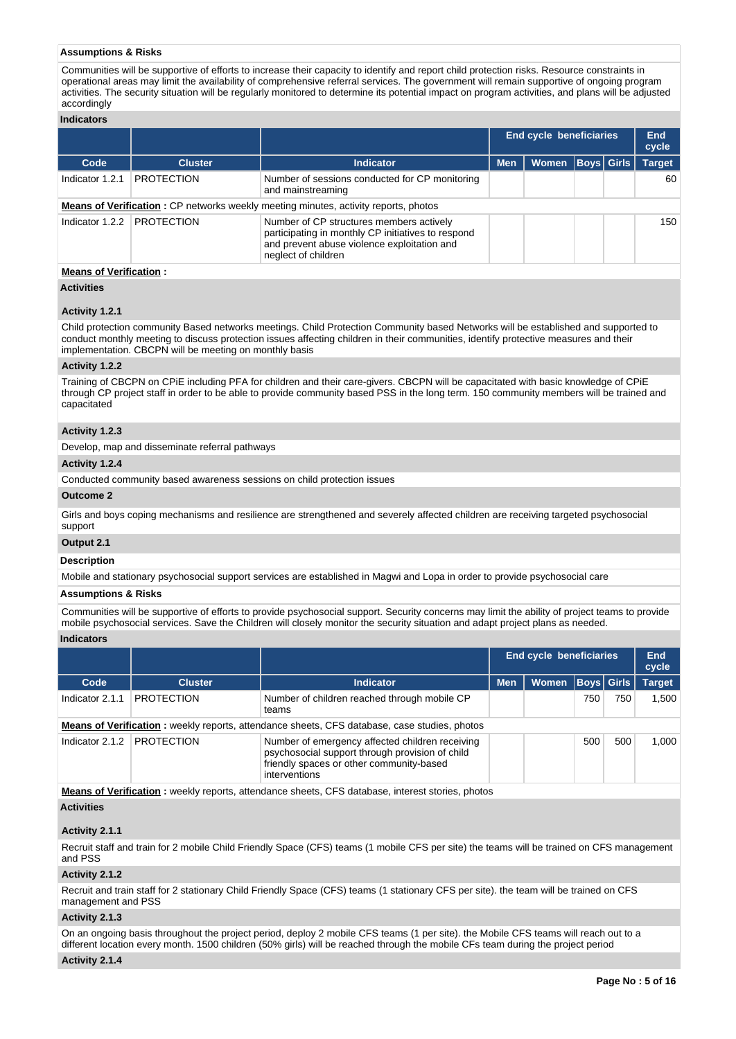### **Assumptions & Risks**

Communities will be supportive of efforts to increase their capacity to identify and report child protection risks. Resource constraints in operational areas may limit the availability of comprehensive referral services. The government will remain supportive of ongoing program activities. The security situation will be regularly monitored to determine its potential impact on program activities, and plans will be adjusted accordingly

# **Indicators**

|                 |                   |                                                                                                                                                                      | <b>End cycle beneficiaries</b> | End<br>cycle            |  |               |
|-----------------|-------------------|----------------------------------------------------------------------------------------------------------------------------------------------------------------------|--------------------------------|-------------------------|--|---------------|
| Code            | <b>Cluster</b>    | <b>Indicator</b>                                                                                                                                                     | <b>Men</b>                     | <b>Women Boys Girls</b> |  | <b>Target</b> |
| Indicator 1.2.1 | <b>PROTECTION</b> | Number of sessions conducted for CP monitoring<br>and mainstreaming                                                                                                  |                                |                         |  | 60            |
|                 |                   | <b>Means of Verification:</b> CP networks weekly meeting minutes, activity reports, photos                                                                           |                                |                         |  |               |
| Indicator 1.2.2 | <b>PROTECTION</b> | Number of CP structures members actively<br>participating in monthly CP initiatives to respond<br>and prevent abuse violence exploitation and<br>neglect of children |                                |                         |  | 150           |

# **Means of Verification :**

### **Activities**

### **Activity 1.2.1**

Child protection community Based networks meetings. Child Protection Community based Networks will be established and supported to conduct monthly meeting to discuss protection issues affecting children in their communities, identify protective measures and their implementation. CBCPN will be meeting on monthly basis

### **Activity 1.2.2**

Training of CBCPN on CPiE including PFA for children and their care-givers. CBCPN will be capacitated with basic knowledge of CPiE through CP project staff in order to be able to provide community based PSS in the long term. 150 community members will be trained and capacitated

### **Activity 1.2.3**

Develop, map and disseminate referral pathways

### **Activity 1.2.4**

Conducted community based awareness sessions on child protection issues

### **Outcome 2**

Girls and boys coping mechanisms and resilience are strengthened and severely affected children are receiving targeted psychosocial support

### **Output 2.1**

## **Description**

Mobile and stationary psychosocial support services are established in Magwi and Lopa in order to provide psychosocial care

# **Assumptions & Risks**

Communities will be supportive of efforts to provide psychosocial support. Security concerns may limit the ability of project teams to provide mobile psychosocial services. Save the Children will closely monitor the security situation and adapt project plans as needed.

### **Indicators**

|                 |                   |                                                                                                                                                                 | <b>End cycle beneficiaries</b> | End<br>cycle |                   |     |               |
|-----------------|-------------------|-----------------------------------------------------------------------------------------------------------------------------------------------------------------|--------------------------------|--------------|-------------------|-----|---------------|
| Code            | <b>Cluster</b>    | <b>Indicator</b>                                                                                                                                                | <b>Men</b>                     | <b>Women</b> | <b>Boys Girls</b> |     | <b>Target</b> |
| Indicator 2.1.1 | <b>PROTECTION</b> | Number of children reached through mobile CP<br>teams                                                                                                           |                                |              | 750               | 750 | 1.500         |
|                 |                   | <b>Means of Verification:</b> weekly reports, attendance sheets, CFS database, case studies, photos                                                             |                                |              |                   |     |               |
| Indicator 2.1.2 | <b>PROTECTION</b> | Number of emergency affected children receiving<br>psychosocial support through provision of child<br>friendly spaces or other community-based<br>interventions |                                |              | 500               | 500 | 1.000         |

**Means of Verification :** weekly reports, attendance sheets, CFS database, interest stories, photos **Activities**

### **Activity 2.1.1**

Recruit staff and train for 2 mobile Child Friendly Space (CFS) teams (1 mobile CFS per site) the teams will be trained on CFS management and PSS

### **Activity 2.1.2**

Recruit and train staff for 2 stationary Child Friendly Space (CFS) teams (1 stationary CFS per site). the team will be trained on CFS management and PSS

### **Activity 2.1.3**

On an ongoing basis throughout the project period, deploy 2 mobile CFS teams (1 per site). the Mobile CFS teams will reach out to a different location every month. 1500 children (50% girls) will be reached through the mobile CFs team during the project period

### **Activity 2.1.4**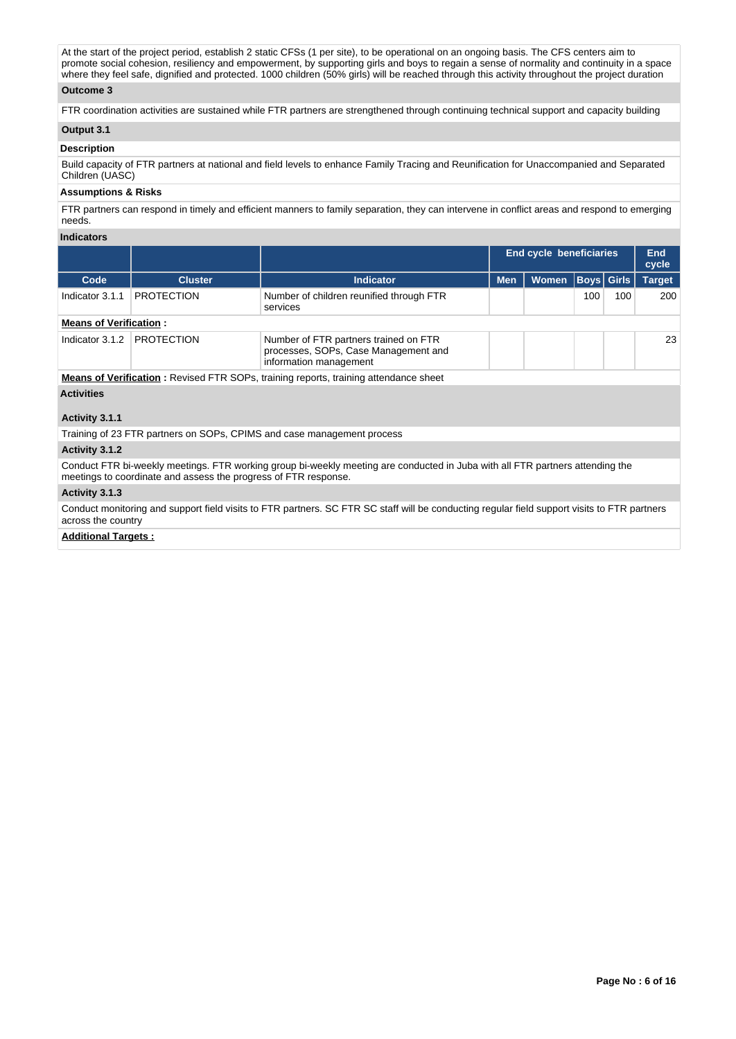At the start of the project period, establish 2 static CFSs (1 per site), to be operational on an ongoing basis. The CFS centers aim to promote social cohesion, resiliency and empowerment, by supporting girls and boys to regain a sense of normality and continuity in a space where they feel safe, dignified and protected. 1000 children (50% girls) will be reached through this activity throughout the project duration

# **Outcome 3**

FTR coordination activities are sustained while FTR partners are strengthened through continuing technical support and capacity building

# **Output 3.1**

### **Description**

Build capacity of FTR partners at national and field levels to enhance Family Tracing and Reunification for Unaccompanied and Separated Children (UASC)

### **Assumptions & Risks**

FTR partners can respond in timely and efficient manners to family separation, they can intervene in conflict areas and respond to emerging needs.

# **Indicators**

|                                                                                             |                   |                                                                                                         | End cycle beneficiaries | End<br>cycle |                   |     |     |               |  |  |
|---------------------------------------------------------------------------------------------|-------------------|---------------------------------------------------------------------------------------------------------|-------------------------|--------------|-------------------|-----|-----|---------------|--|--|
| Code                                                                                        | <b>Cluster</b>    | <b>Indicator</b>                                                                                        | <b>Men</b>              | <b>Women</b> | <b>Boys Girls</b> |     |     | <b>Target</b> |  |  |
| Indicator 3.1.1                                                                             | <b>PROTECTION</b> | Number of children reunified through FTR<br>services                                                    |                         |              | 100               | 100 | 200 |               |  |  |
| <b>Means of Verification:</b>                                                               |                   |                                                                                                         |                         |              |                   |     |     |               |  |  |
| Indicator 3.1.2                                                                             | <b>PROTECTION</b> | Number of FTR partners trained on FTR<br>processes, SOPs, Case Management and<br>information management |                         |              |                   |     | 23  |               |  |  |
| <b>Means of Verification:</b> Revised FTR SOPs, training reports, training attendance sheet |                   |                                                                                                         |                         |              |                   |     |     |               |  |  |
| <b>Activities</b>                                                                           |                   |                                                                                                         |                         |              |                   |     |     |               |  |  |

# **Activity 3.1.1**

Training of 23 FTR partners on SOPs, CPIMS and case management process

#### **Activity 3.1.2**

Conduct FTR bi-weekly meetings. FTR working group bi-weekly meeting are conducted in Juba with all FTR partners attending the meetings to coordinate and assess the progress of FTR response.

### **Activity 3.1.3**

Conduct monitoring and support field visits to FTR partners. SC FTR SC staff will be conducting regular field support visits to FTR partners across the country

## **Additional Targets :**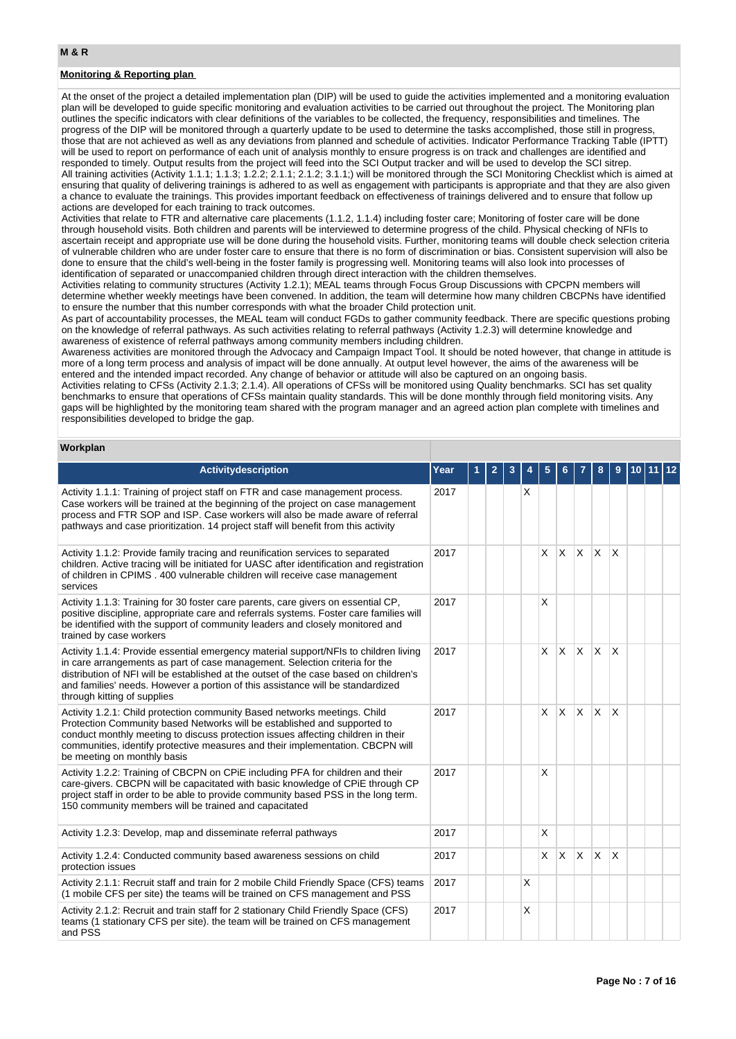# **Monitoring & Reporting plan**

At the onset of the project a detailed implementation plan (DIP) will be used to guide the activities implemented and a monitoring evaluation plan will be developed to guide specific monitoring and evaluation activities to be carried out throughout the project. The Monitoring plan outlines the specific indicators with clear definitions of the variables to be collected, the frequency, responsibilities and timelines. The progress of the DIP will be monitored through a quarterly update to be used to determine the tasks accomplished, those still in progress, those that are not achieved as well as any deviations from planned and schedule of activities. Indicator Performance Tracking Table (IPTT) will be used to report on performance of each unit of analysis monthly to ensure progress is on track and challenges are identified and responded to timely. Output results from the project will feed into the SCI Output tracker and will be used to develop the SCI sitrep. All training activities (Activity 1.1.1; 1.1.3; 1.2.2; 2.1.1; 2.1.2; 3.1.1;) will be monitored through the SCI Monitoring Checklist which is aimed at ensuring that quality of delivering trainings is adhered to as well as engagement with participants is appropriate and that they are also given a chance to evaluate the trainings. This provides important feedback on effectiveness of trainings delivered and to ensure that follow up actions are developed for each training to track outcomes.

Activities that relate to FTR and alternative care placements (1.1.2, 1.1.4) including foster care; Monitoring of foster care will be done through household visits. Both children and parents will be interviewed to determine progress of the child. Physical checking of NFIs to ascertain receipt and appropriate use will be done during the household visits. Further, monitoring teams will double check selection criteria of vulnerable children who are under foster care to ensure that there is no form of discrimination or bias. Consistent supervision will also be done to ensure that the child's well-being in the foster family is progressing well. Monitoring teams will also look into processes of identification of separated or unaccompanied children through direct interaction with the children themselves.

Activities relating to community structures (Activity 1.2.1); MEAL teams through Focus Group Discussions with CPCPN members will determine whether weekly meetings have been convened. In addition, the team will determine how many children CBCPNs have identified to ensure the number that this number corresponds with what the broader Child protection unit.

As part of accountability processes, the MEAL team will conduct FGDs to gather community feedback. There are specific questions probing on the knowledge of referral pathways. As such activities relating to referral pathways (Activity 1.2.3) will determine knowledge and awareness of existence of referral pathways among community members including children.

Awareness activities are monitored through the Advocacy and Campaign Impact Tool. It should be noted however, that change in attitude is more of a long term process and analysis of impact will be done annually. At output level however, the aims of the awareness will be entered and the intended impact recorded. Any change of behavior or attitude will also be captured on an ongoing basis.

Activities relating to CFSs (Activity 2.1.3; 2.1.4). All operations of CFSs will be monitored using Quality benchmarks. SCI has set quality benchmarks to ensure that operations of CFSs maintain quality standards. This will be done monthly through field monitoring visits. Any gaps will be highlighted by the monitoring team shared with the program manager and an agreed action plan complete with timelines and responsibilities developed to bridge the gap.

#### **Workplan**

| <b>Activitydescription</b>                                                                                                                                                                                                                                                                                                                                                    | Year | 2 |          |          |              |          |              | 9                       |  |  |
|-------------------------------------------------------------------------------------------------------------------------------------------------------------------------------------------------------------------------------------------------------------------------------------------------------------------------------------------------------------------------------|------|---|----------|----------|--------------|----------|--------------|-------------------------|--|--|
| Activity 1.1.1: Training of project staff on FTR and case management process.<br>Case workers will be trained at the beginning of the project on case management<br>process and FTR SOP and ISP. Case workers will also be made aware of referral<br>pathways and case prioritization. 14 project staff will benefit from this activity                                       | 2017 |   | X        |          |              |          |              |                         |  |  |
| Activity 1.1.2: Provide family tracing and reunification services to separated<br>children. Active tracing will be initiated for UASC after identification and registration<br>of children in CPIMS . 400 vulnerable children will receive case management<br>services                                                                                                        | 2017 |   |          | X.       | $\mathsf{X}$ | IX.      | <b>X</b>     | $\overline{\mathsf{x}}$ |  |  |
| Activity 1.1.3: Training for 30 foster care parents, care givers on essential CP,<br>positive discipline, appropriate care and referrals systems. Foster care families will<br>be identified with the support of community leaders and closely monitored and<br>trained by case workers                                                                                       | 2017 |   |          | X        |              |          |              |                         |  |  |
| Activity 1.1.4: Provide essential emergency material support/NFIs to children living<br>in care arrangements as part of case management. Selection criteria for the<br>distribution of NFI will be established at the outset of the case based on children's<br>and families' needs. However a portion of this assistance will be standardized<br>through kitting of supplies | 2017 |   |          | X        | $\mathsf{x}$ | X        | <b>X</b>     | X                       |  |  |
| Activity 1.2.1: Child protection community Based networks meetings. Child<br>Protection Community based Networks will be established and supported to<br>conduct monthly meeting to discuss protection issues affecting children in their<br>communities, identify protective measures and their implementation. CBCPN will<br>be meeting on monthly basis                    | 2017 |   |          | X.       | $\mathsf{X}$ | ΙX.      | $\mathsf{X}$ | $\overline{\mathsf{x}}$ |  |  |
| Activity 1.2.2: Training of CBCPN on CPIE including PFA for children and their<br>care-givers. CBCPN will be capacitated with basic knowledge of CPiE through CP<br>project staff in order to be able to provide community based PSS in the long term.<br>150 community members will be trained and capacitated                                                               | 2017 |   |          | X        |              |          |              |                         |  |  |
| Activity 1.2.3: Develop, map and disseminate referral pathways                                                                                                                                                                                                                                                                                                                | 2017 |   |          | X        |              |          |              |                         |  |  |
| Activity 1.2.4: Conducted community based awareness sessions on child<br>protection issues                                                                                                                                                                                                                                                                                    | 2017 |   |          | $\times$ | $\times$     | <b>X</b> | <b>X</b>     | $\overline{\mathsf{x}}$ |  |  |
| Activity 2.1.1: Recruit staff and train for 2 mobile Child Friendly Space (CFS) teams<br>(1 mobile CFS per site) the teams will be trained on CFS management and PSS                                                                                                                                                                                                          | 2017 |   | X        |          |              |          |              |                         |  |  |
| Activity 2.1.2: Recruit and train staff for 2 stationary Child Friendly Space (CFS)<br>teams (1 stationary CFS per site). the team will be trained on CFS management<br>and PSS                                                                                                                                                                                               | 2017 |   | $\times$ |          |              |          |              |                         |  |  |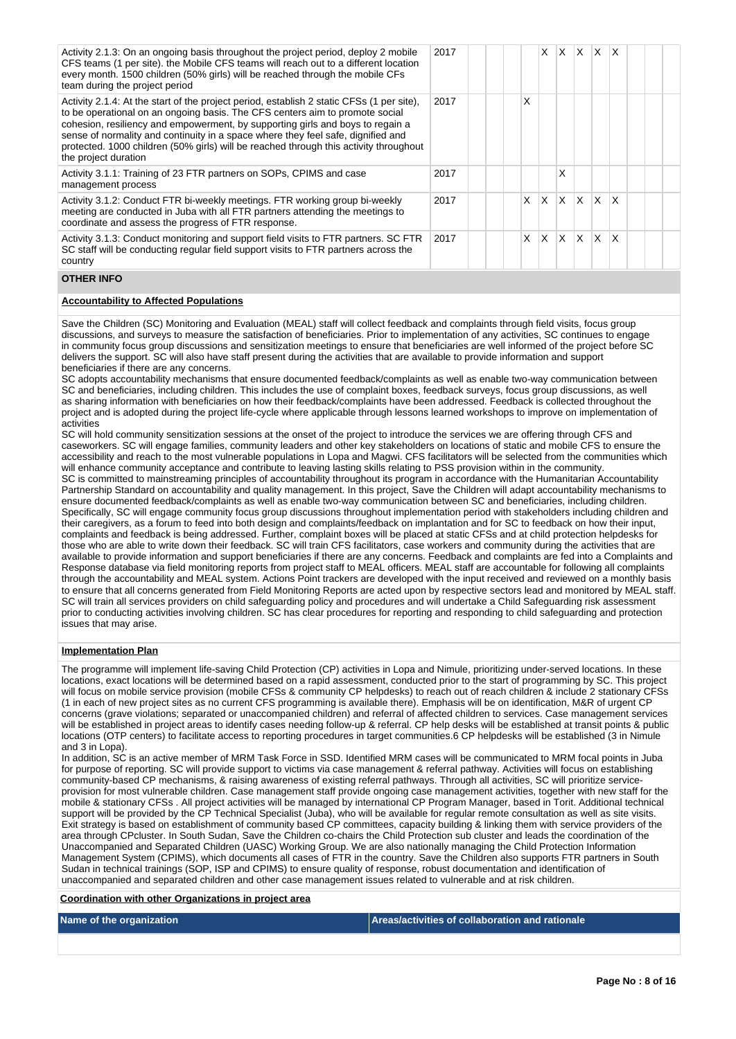| Activity 2.1.3: On an ongoing basis throughout the project period, deploy 2 mobile<br>CFS teams (1 per site), the Mobile CFS teams will reach out to a different location<br>every month. 1500 children (50% girls) will be reached through the mobile CFs<br>team during the project period                                                                                                                                                                     | 2017 |  |   | X   |              | $X$ $X$ $X$             |              | $\mathsf{X}$ |  |  |
|------------------------------------------------------------------------------------------------------------------------------------------------------------------------------------------------------------------------------------------------------------------------------------------------------------------------------------------------------------------------------------------------------------------------------------------------------------------|------|--|---|-----|--------------|-------------------------|--------------|--------------|--|--|
| Activity 2.1.4: At the start of the project period, establish 2 static CFSs (1 per site),<br>to be operational on an ongoing basis. The CFS centers aim to promote social<br>cohesion, resiliency and empowerment, by supporting girls and boys to regain a<br>sense of normality and continuity in a space where they feel safe, dignified and<br>protected. 1000 children (50% girls) will be reached through this activity throughout<br>the project duration | 2017 |  | Χ |     |              |                         |              |              |  |  |
| Activity 3.1.1: Training of 23 FTR partners on SOPs, CPIMS and case<br>management process                                                                                                                                                                                                                                                                                                                                                                        | 2017 |  |   |     | X            |                         |              |              |  |  |
| Activity 3.1.2: Conduct FTR bi-weekly meetings. FTR working group bi-weekly<br>meeting are conducted in Juba with all FTR partners attending the meetings to<br>coordinate and assess the progress of FTR response.                                                                                                                                                                                                                                              | 2017 |  | X | ΙX. |              | $\mathsf{X} \mathsf{X}$ | $\mathsf{X}$ | $\mathsf{X}$ |  |  |
| Activity 3.1.3: Conduct monitoring and support field visits to FTR partners. SC FTR<br>SC staff will be conducting regular field support visits to FTR partners across the<br>country                                                                                                                                                                                                                                                                            | 2017 |  | X | X.  | $\mathsf{X}$ | IX.                     | ΙX.          | ΙX           |  |  |

### **OTHER INFO**

### **Accountability to Affected Populations**

Save the Children (SC) Monitoring and Evaluation (MEAL) staff will collect feedback and complaints through field visits, focus group discussions, and surveys to measure the satisfaction of beneficiaries. Prior to implementation of any activities, SC continues to engage in community focus group discussions and sensitization meetings to ensure that beneficiaries are well informed of the project before SC delivers the support. SC will also have staff present during the activities that are available to provide information and support beneficiaries if there are any concerns.

SC adopts accountability mechanisms that ensure documented feedback/complaints as well as enable two-way communication between SC and beneficiaries, including children. This includes the use of complaint boxes, feedback surveys, focus group discussions, as well as sharing information with beneficiaries on how their feedback/complaints have been addressed. Feedback is collected throughout the project and is adopted during the project life-cycle where applicable through lessons learned workshops to improve on implementation of activities

SC will hold community sensitization sessions at the onset of the project to introduce the services we are offering through CFS and caseworkers. SC will engage families, community leaders and other key stakeholders on locations of static and mobile CFS to ensure the accessibility and reach to the most vulnerable populations in Lopa and Magwi. CFS facilitators will be selected from the communities which will enhance community acceptance and contribute to leaving lasting skills relating to PSS provision within in the community. SC is committed to mainstreaming principles of accountability throughout its program in accordance with the Humanitarian Accountability Partnership Standard on accountability and quality management. In this project, Save the Children will adapt accountability mechanisms to ensure documented feedback/complaints as well as enable two-way communication between SC and beneficiaries, including children. Specifically, SC will engage community focus group discussions throughout implementation period with stakeholders including children and their caregivers, as a forum to feed into both design and complaints/feedback on implantation and for SC to feedback on how their input, complaints and feedback is being addressed. Further, complaint boxes will be placed at static CFSs and at child protection helpdesks for those who are able to write down their feedback. SC will train CFS facilitators, case workers and community during the activities that are available to provide information and support beneficiaries if there are any concerns. Feedback and complaints are fed into a Complaints and Response database via field monitoring reports from project staff to MEAL officers. MEAL staff are accountable for following all complaints through the accountability and MEAL system. Actions Point trackers are developed with the input received and reviewed on a monthly basis to ensure that all concerns generated from Field Monitoring Reports are acted upon by respective sectors lead and monitored by MEAL staff. SC will train all services providers on child safeguarding policy and procedures and will undertake a Child Safeguarding risk assessment prior to conducting activities involving children. SC has clear procedures for reporting and responding to child safeguarding and protection issues that may arise.

#### **Implementation Plan**

The programme will implement life-saving Child Protection (CP) activities in Lopa and Nimule, prioritizing under-served locations. In these locations, exact locations will be determined based on a rapid assessment, conducted prior to the start of programming by SC. This project will focus on mobile service provision (mobile CFSs & community CP helpdesks) to reach out of reach children & include 2 stationary CFSs (1 in each of new project sites as no current CFS programming is available there). Emphasis will be on identification, M&R of urgent CP concerns (grave violations; separated or unaccompanied children) and referral of affected children to services. Case management services will be established in project areas to identify cases needing follow-up & referral. CP help desks will be established at transit points & public locations (OTP centers) to facilitate access to reporting procedures in target communities.6 CP helpdesks will be established (3 in Nimule and 3 in Lopa).

In addition, SC is an active member of MRM Task Force in SSD. Identified MRM cases will be communicated to MRM focal points in Juba for purpose of reporting. SC will provide support to victims via case management & referral pathway. Activities will focus on establishing community-based CP mechanisms, & raising awareness of existing referral pathways. Through all activities, SC will prioritize serviceprovision for most vulnerable children. Case management staff provide ongoing case management activities, together with new staff for the mobile & stationary CFSs . All project activities will be managed by international CP Program Manager, based in Torit. Additional technical support will be provided by the CP Technical Specialist (Juba), who will be available for regular remote consultation as well as site visits. Exit strategy is based on establishment of community based CP committees, capacity building & linking them with service providers of the area through CPcluster. In South Sudan, Save the Children co-chairs the Child Protection sub cluster and leads the coordination of the Unaccompanied and Separated Children (UASC) Working Group. We are also nationally managing the Child Protection Information Management System (CPIMS), which documents all cases of FTR in the country. Save the Children also supports FTR partners in South Sudan in technical trainings (SOP, ISP and CPIMS) to ensure quality of response, robust documentation and identification of unaccompanied and separated children and other case management issues related to vulnerable and at risk children.

**Coordination with other Organizations in project area**

**Name of the organization Areas/activities of collaboration and rationale**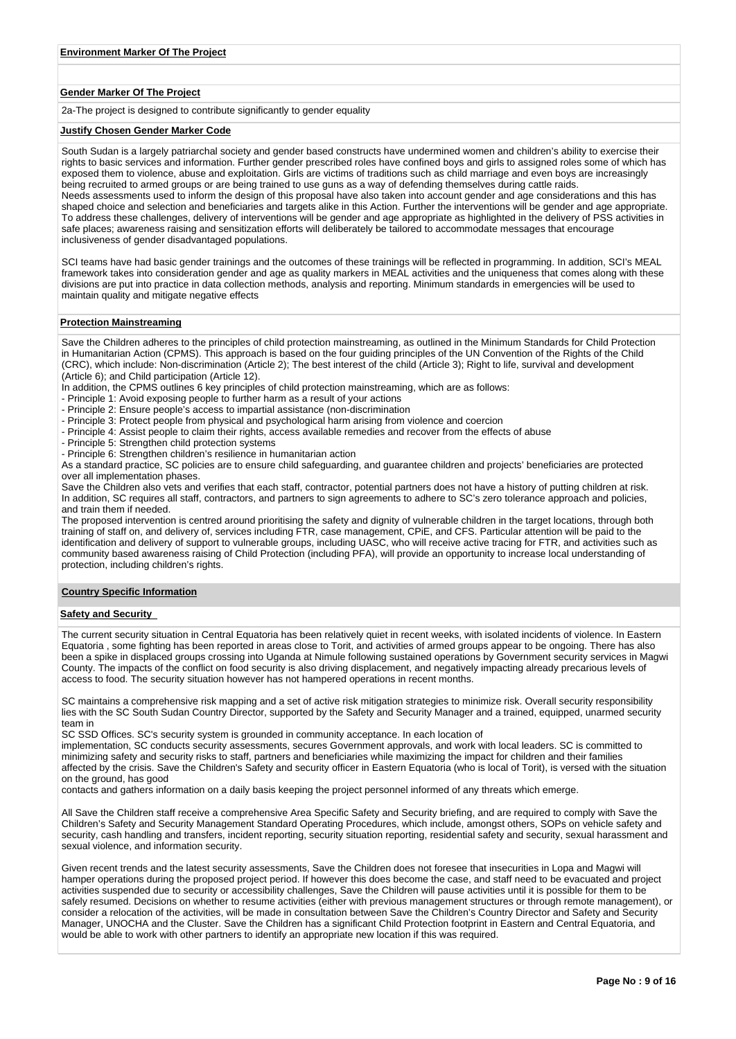### **Gender Marker Of The Project**

2a-The project is designed to contribute significantly to gender equality

#### **Justify Chosen Gender Marker Code**

South Sudan is a largely patriarchal society and gender based constructs have undermined women and children's ability to exercise their rights to basic services and information. Further gender prescribed roles have confined boys and girls to assigned roles some of which has exposed them to violence, abuse and exploitation. Girls are victims of traditions such as child marriage and even boys are increasingly being recruited to armed groups or are being trained to use guns as a way of defending themselves during cattle raids. Needs assessments used to inform the design of this proposal have also taken into account gender and age considerations and this has shaped choice and selection and beneficiaries and targets alike in this Action. Further the interventions will be gender and age appropriate. To address these challenges, delivery of interventions will be gender and age appropriate as highlighted in the delivery of PSS activities in safe places; awareness raising and sensitization efforts will deliberately be tailored to accommodate messages that encourage inclusiveness of gender disadvantaged populations.

SCI teams have had basic gender trainings and the outcomes of these trainings will be reflected in programming. In addition, SCI's MEAL framework takes into consideration gender and age as quality markers in MEAL activities and the uniqueness that comes along with these divisions are put into practice in data collection methods, analysis and reporting. Minimum standards in emergencies will be used to maintain quality and mitigate negative effects

### **Protection Mainstreaming**

Save the Children adheres to the principles of child protection mainstreaming, as outlined in the Minimum Standards for Child Protection in Humanitarian Action (CPMS). This approach is based on the four guiding principles of the UN Convention of the Rights of the Child (CRC), which include: Non-discrimination (Article 2); The best interest of the child (Article 3); Right to life, survival and development (Article 6); and Child participation (Article 12).

- In addition, the CPMS outlines 6 key principles of child protection mainstreaming, which are as follows:
- Principle 1: Avoid exposing people to further harm as a result of your actions

- Principle 2: Ensure people's access to impartial assistance (non-discrimination

- Principle 3: Protect people from physical and psychological harm arising from violence and coercion
- Principle 4: Assist people to claim their rights, access available remedies and recover from the effects of abuse
- Principle 5: Strengthen child protection systems
- Principle 6: Strengthen children's resilience in humanitarian action

As a standard practice, SC policies are to ensure child safeguarding, and guarantee children and projects' beneficiaries are protected over all implementation phases.

Save the Children also vets and verifies that each staff, contractor, potential partners does not have a history of putting children at risk. In addition, SC requires all staff, contractors, and partners to sign agreements to adhere to SC's zero tolerance approach and policies, and train them if needed.

The proposed intervention is centred around prioritising the safety and dignity of vulnerable children in the target locations, through both training of staff on, and delivery of, services including FTR, case management, CPiE, and CFS. Particular attention will be paid to the identification and delivery of support to vulnerable groups, including UASC, who will receive active tracing for FTR, and activities such as community based awareness raising of Child Protection (including PFA), will provide an opportunity to increase local understanding of protection, including children's rights.

### **Country Specific Information**

#### **Safety and Security**

The current security situation in Central Equatoria has been relatively quiet in recent weeks, with isolated incidents of violence. In Eastern Equatoria , some fighting has been reported in areas close to Torit, and activities of armed groups appear to be ongoing. There has also been a spike in displaced groups crossing into Uganda at Nimule following sustained operations by Government security services in Magwi County. The impacts of the conflict on food security is also driving displacement, and negatively impacting already precarious levels of access to food. The security situation however has not hampered operations in recent months.

SC maintains a comprehensive risk mapping and a set of active risk mitigation strategies to minimize risk. Overall security responsibility lies with the SC South Sudan Country Director, supported by the Safety and Security Manager and a trained, equipped, unarmed security team in

SC SSD Offices. SC's security system is grounded in community acceptance. In each location of

implementation, SC conducts security assessments, secures Government approvals, and work with local leaders. SC is committed to minimizing safety and security risks to staff, partners and beneficiaries while maximizing the impact for children and their families affected by the crisis. Save the Children's Safety and security officer in Eastern Equatoria (who is local of Torit), is versed with the situation on the ground, has good

contacts and gathers information on a daily basis keeping the project personnel informed of any threats which emerge.

All Save the Children staff receive a comprehensive Area Specific Safety and Security briefing, and are required to comply with Save the Children's Safety and Security Management Standard Operating Procedures, which include, amongst others, SOPs on vehicle safety and security, cash handling and transfers, incident reporting, security situation reporting, residential safety and security, sexual harassment and sexual violence, and information security.

Given recent trends and the latest security assessments, Save the Children does not foresee that insecurities in Lopa and Magwi will hamper operations during the proposed project period. If however this does become the case, and staff need to be evacuated and project activities suspended due to security or accessibility challenges, Save the Children will pause activities until it is possible for them to be safely resumed. Decisions on whether to resume activities (either with previous management structures or through remote management), or consider a relocation of the activities, will be made in consultation between Save the Children's Country Director and Safety and Security Manager, UNOCHA and the Cluster. Save the Children has a significant Child Protection footprint in Eastern and Central Equatoria, and would be able to work with other partners to identify an appropriate new location if this was required.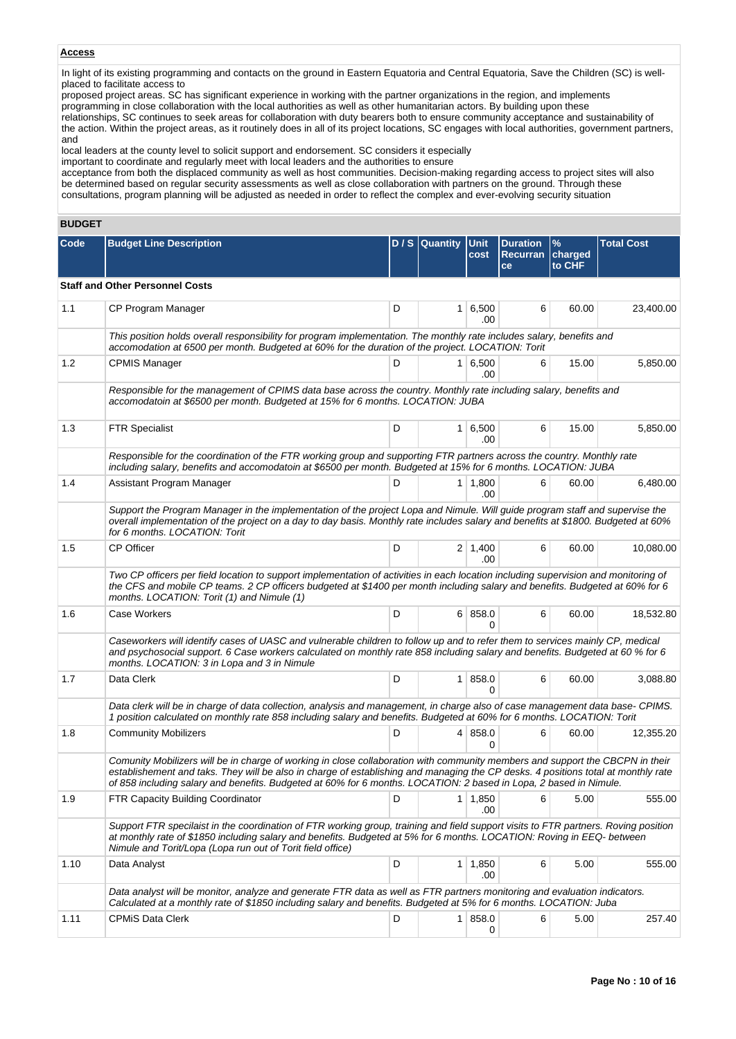# **Access**

In light of its existing programming and contacts on the ground in Eastern Equatoria and Central Equatoria, Save the Children (SC) is wellplaced to facilitate access to

proposed project areas. SC has significant experience in working with the partner organizations in the region, and implements programming in close collaboration with the local authorities as well as other humanitarian actors. By building upon these relationships, SC continues to seek areas for collaboration with duty bearers both to ensure community acceptance and sustainability of the action. Within the project areas, as it routinely does in all of its project locations, SC engages with local authorities, government partners, and

local leaders at the county level to solicit support and endorsement. SC considers it especially

important to coordinate and regularly meet with local leaders and the authorities to ensure

acceptance from both the displaced community as well as host communities. Decision-making regarding access to project sites will also be determined based on regular security assessments as well as close collaboration with partners on the ground. Through these consultations, program planning will be adjusted as needed in order to reflect the complex and ever-evolving security situation

# **BUDGET**

| <b>Code</b> | <b>Budget Line Description</b>                                                                                                                                                                                                                                                                                                                                                          |   | D / S Quantity Unit | cost                  | <b>Duration</b><br>Recurran charged<br>ce | $\frac{9}{6}$<br>to CHF | <b>Total Cost</b> |
|-------------|-----------------------------------------------------------------------------------------------------------------------------------------------------------------------------------------------------------------------------------------------------------------------------------------------------------------------------------------------------------------------------------------|---|---------------------|-----------------------|-------------------------------------------|-------------------------|-------------------|
|             | <b>Staff and Other Personnel Costs</b>                                                                                                                                                                                                                                                                                                                                                  |   |                     |                       |                                           |                         |                   |
| 1.1         | CP Program Manager                                                                                                                                                                                                                                                                                                                                                                      | D |                     | $1 \ 6,500$<br>.00    | 6                                         | 60.00                   | 23,400.00         |
|             | This position holds overall responsibility for program implementation. The monthly rate includes salary, benefits and<br>accomodation at 6500 per month. Budgeted at 60% for the duration of the project. LOCATION: Torit                                                                                                                                                               |   |                     |                       |                                           |                         |                   |
| 1.2         | <b>CPMIS Manager</b>                                                                                                                                                                                                                                                                                                                                                                    | D |                     | $1 \ 6,500$<br>.00    | 6                                         | 15.00                   | 5,850.00          |
|             | Responsible for the management of CPIMS data base across the country. Monthly rate including salary, benefits and<br>accomodatoin at \$6500 per month. Budgeted at 15% for 6 months. LOCATION: JUBA                                                                                                                                                                                     |   |                     |                       |                                           |                         |                   |
| 1.3         | <b>FTR Specialist</b>                                                                                                                                                                                                                                                                                                                                                                   | D |                     | $1 \ 6,500$<br>.00.   | 6                                         | 15.00                   | 5,850.00          |
|             | Responsible for the coordination of the FTR working group and supporting FTR partners across the country. Monthly rate<br>including salary, benefits and accomodatoin at \$6500 per month. Budgeted at 15% for 6 months. LOCATION: JUBA                                                                                                                                                 |   |                     |                       |                                           |                         |                   |
| 1.4         | Assistant Program Manager                                                                                                                                                                                                                                                                                                                                                               | D |                     | 1 1,800<br>.00        | 6                                         | 60.00                   | 6,480.00          |
|             | Support the Program Manager in the implementation of the project Lopa and Nimule. Will guide program staff and supervise the<br>overall implementation of the project on a day to day basis. Monthly rate includes salary and benefits at \$1800. Budgeted at 60%<br>for 6 months. LOCATION: Torit                                                                                      |   |                     |                       |                                           |                         |                   |
| 1.5         | CP Officer                                                                                                                                                                                                                                                                                                                                                                              | D |                     | $2 \mid 1,400$<br>.00 | 6                                         | 60.00                   | 10,080.00         |
|             | Two CP officers per field location to support implementation of activities in each location including supervision and monitoring of<br>the CFS and mobile CP teams. 2 CP officers budgeted at \$1400 per month including salary and benefits. Budgeted at 60% for 6<br>months. LOCATION: Torit (1) and Nimule (1)                                                                       |   |                     |                       |                                           |                         |                   |
| 1.6         | Case Workers                                                                                                                                                                                                                                                                                                                                                                            | D |                     | 6 858.0<br>0          | 6                                         | 60.00                   | 18,532.80         |
|             | Caseworkers will identify cases of UASC and vulnerable children to follow up and to refer them to services mainly CP, medical<br>and psychosocial support. 6 Case workers calculated on monthly rate 858 including salary and benefits. Budgeted at 60 % for 6<br>months. LOCATION: 3 in Lopa and 3 in Nimule                                                                           |   |                     |                       |                                           |                         |                   |
| 1.7         | Data Clerk                                                                                                                                                                                                                                                                                                                                                                              | D |                     | 1 858.0<br>$\Omega$   | 6                                         | 60.00                   | 3,088.80          |
|             | Data clerk will be in charge of data collection, analysis and management, in charge also of case management data base- CPIMS.<br>1 position calculated on monthly rate 858 including salary and benefits. Budgeted at 60% for 6 months. LOCATION: Torit                                                                                                                                 |   |                     |                       |                                           |                         |                   |
| 1.8         | <b>Community Mobilizers</b>                                                                                                                                                                                                                                                                                                                                                             | D |                     | 4   858.0<br>0        | 6                                         | 60.00                   | 12,355.20         |
|             | Comunity Mobilizers will be in charge of working in close collaboration with community members and support the CBCPN in their<br>establishement and taks. They will be also in charge of establishing and managing the CP desks. 4 positions total at monthly rate<br>of 858 including salary and benefits. Budgeted at 60% for 6 months. LOCATION: 2 based in Lopa, 2 based in Nimule. |   |                     |                       |                                           |                         |                   |
| 1.9         | FTR Capacity Building Coordinator                                                                                                                                                                                                                                                                                                                                                       | D |                     | $1 \mid 1,850$<br>.00 | 6                                         | 5.00                    | 555.00            |
|             | Support FTR specilaist in the coordination of FTR working group, training and field support visits to FTR partners. Roving position<br>at monthly rate of \$1850 including salary and benefits. Budgeted at 5% for 6 months. LOCATION: Roving in EEQ-between<br>Nimule and Torit/Lopa (Lopa run out of Torit field office)                                                              |   |                     |                       |                                           |                         |                   |
| 1.10        | Data Analyst                                                                                                                                                                                                                                                                                                                                                                            | D |                     | $1 \mid 1,850$<br>.00 | 6                                         | 5.00                    | 555.00            |
|             | Data analyst will be monitor, analyze and generate FTR data as well as FTR partners monitoring and evaluation indicators.<br>Calculated at a monthly rate of \$1850 including salary and benefits. Budgeted at 5% for 6 months. LOCATION: Juba                                                                                                                                          |   |                     |                       |                                           |                         |                   |
| 1.11        | <b>CPMIS Data Clerk</b>                                                                                                                                                                                                                                                                                                                                                                 | D |                     | 1 858.0<br>0          | 6                                         | 5.00                    | 257.40            |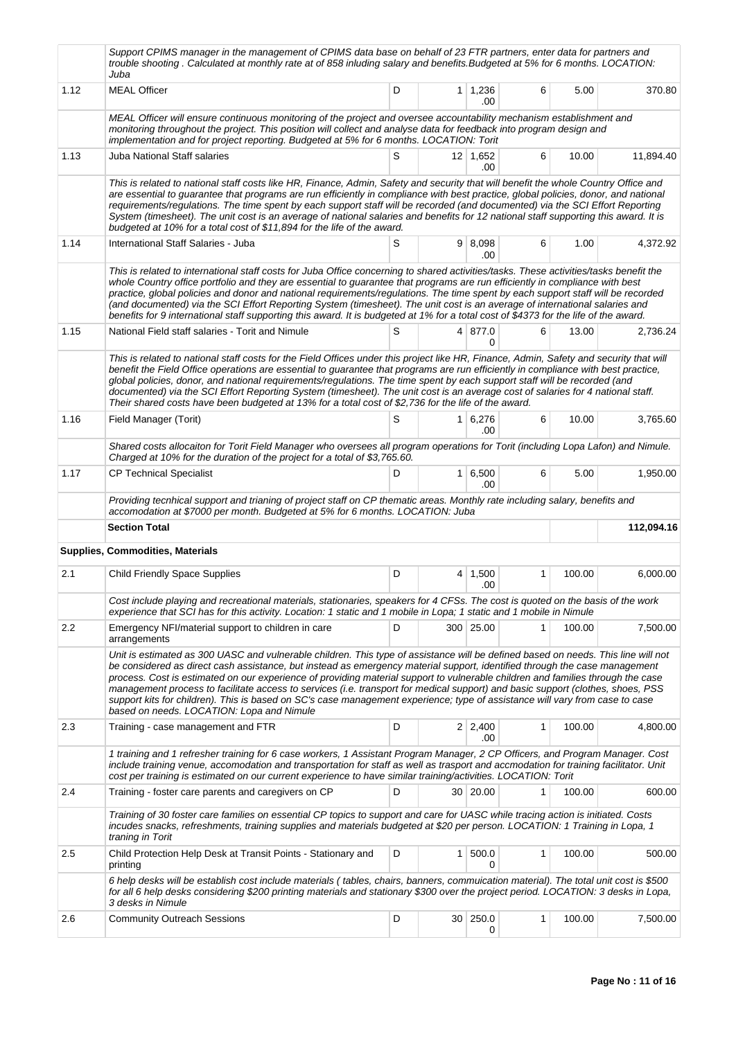|      | Support CPIMS manager in the management of CPIMS data base on behalf of 23 FTR partners, enter data for partners and<br>trouble shooting. Calculated at monthly rate at of 858 inluding salary and benefits. Budgeted at 5% for 6 months. LOCATION:<br>Juba                                                                                                                                                                                                                                                                                                                                                                                                                                                        |   |                |                       |              |        |            |  |
|------|--------------------------------------------------------------------------------------------------------------------------------------------------------------------------------------------------------------------------------------------------------------------------------------------------------------------------------------------------------------------------------------------------------------------------------------------------------------------------------------------------------------------------------------------------------------------------------------------------------------------------------------------------------------------------------------------------------------------|---|----------------|-----------------------|--------------|--------|------------|--|
| 1.12 | <b>MEAL Officer</b>                                                                                                                                                                                                                                                                                                                                                                                                                                                                                                                                                                                                                                                                                                | D |                | $1 \mid 1,236$<br>.00 | 6            | 5.00   | 370.80     |  |
|      | MEAL Officer will ensure continuous monitoring of the project and oversee accountability mechanism establishment and<br>monitoring throughout the project. This position will collect and analyse data for feedback into program design and<br>implementation and for project reporting. Budgeted at 5% for 6 months. LOCATION: Torit                                                                                                                                                                                                                                                                                                                                                                              |   |                |                       |              |        |            |  |
| 1.13 | Juba National Staff salaries                                                                                                                                                                                                                                                                                                                                                                                                                                                                                                                                                                                                                                                                                       | S |                | 12 1,652<br>.00       | 6            | 10.00  | 11,894.40  |  |
|      | This is related to national staff costs like HR, Finance, Admin, Safety and security that will benefit the whole Country Office and<br>are essential to guarantee that programs are run efficiently in compliance with best practice, global policies, donor, and national<br>requirements/regulations. The time spent by each support staff will be recorded (and documented) via the SCI Effort Reporting<br>System (timesheet). The unit cost is an average of national salaries and benefits for 12 national staff supporting this award. It is<br>budgeted at 10% for a total cost of \$11,894 for the life of the award.                                                                                     |   |                |                       |              |        |            |  |
| 1.14 | International Staff Salaries - Juba                                                                                                                                                                                                                                                                                                                                                                                                                                                                                                                                                                                                                                                                                | S |                | 9   8,098<br>.00      | 6            | 1.00   | 4,372.92   |  |
|      | This is related to international staff costs for Juba Office concerning to shared activities/tasks. These activities/tasks benefit the<br>whole Country office portfolio and they are essential to guarantee that programs are run efficiently in compliance with best<br>practice, global policies and donor and national requirements/regulations. The time spent by each support staff will be recorded<br>(and documented) via the SCI Effort Reporting System (timesheet). The unit cost is an average of international salaries and<br>benefits for 9 international staff supporting this award. It is budgeted at 1% for a total cost of \$4373 for the life of the award.                                  |   |                |                       |              |        |            |  |
| 1.15 | National Field staff salaries - Torit and Nimule                                                                                                                                                                                                                                                                                                                                                                                                                                                                                                                                                                                                                                                                   | S |                | 4 877.0<br>$\Omega$   | 6            | 13.00  | 2.736.24   |  |
|      | This is related to national staff costs for the Field Offices under this project like HR, Finance, Admin, Safety and security that will<br>benefit the Field Office operations are essential to guarantee that programs are run efficiently in compliance with best practice,<br>global policies, donor, and national requirements/regulations. The time spent by each support staff will be recorded (and<br>documented) via the SCI Effort Reporting System (timesheet). The unit cost is an average cost of salaries for 4 national staff.<br>Their shared costs have been budgeted at 13% for a total cost of \$2,736 for the life of the award.                                                               |   |                |                       |              |        |            |  |
| 1.16 | Field Manager (Torit)                                                                                                                                                                                                                                                                                                                                                                                                                                                                                                                                                                                                                                                                                              | S |                | 1 6,276<br>.00        | 6            | 10.00  | 3,765.60   |  |
|      | Shared costs allocaiton for Torit Field Manager who oversees all program operations for Torit (including Lopa Lafon) and Nimule.<br>Charged at 10% for the duration of the project for a total of \$3,765.60.                                                                                                                                                                                                                                                                                                                                                                                                                                                                                                      |   |                |                       |              |        |            |  |
| 1.17 | <b>CP Technical Specialist</b>                                                                                                                                                                                                                                                                                                                                                                                                                                                                                                                                                                                                                                                                                     | D |                | $1 \, 6,500$<br>.00   | 6            | 5.00   | 1,950.00   |  |
|      | Providing tecnhical support and trianing of project staff on CP thematic areas. Monthly rate including salary, benefits and<br>accomodation at \$7000 per month. Budgeted at 5% for 6 months. LOCATION: Juba                                                                                                                                                                                                                                                                                                                                                                                                                                                                                                       |   |                |                       |              |        |            |  |
|      | <b>Section Total</b>                                                                                                                                                                                                                                                                                                                                                                                                                                                                                                                                                                                                                                                                                               |   |                |                       |              |        | 112,094.16 |  |
|      | <b>Supplies, Commodities, Materials</b>                                                                                                                                                                                                                                                                                                                                                                                                                                                                                                                                                                                                                                                                            |   |                |                       |              |        |            |  |
| 2.1  | Child Friendly Space Supplies                                                                                                                                                                                                                                                                                                                                                                                                                                                                                                                                                                                                                                                                                      | D |                | $4 \mid 1,500$<br>.00 | $\mathbf{1}$ | 100.00 | 6,000.00   |  |
|      | Cost include playing and recreational materials, stationaries, speakers for 4 CFSs. The cost is quoted on the basis of the work<br>experience that SCI has for this activity. Location: 1 static and 1 mobile in Lopa; 1 static and 1 mobile in Nimule                                                                                                                                                                                                                                                                                                                                                                                                                                                             |   |                |                       |              |        |            |  |
| 2.2  | Emergency NFI/material support to children in care<br>arrangements                                                                                                                                                                                                                                                                                                                                                                                                                                                                                                                                                                                                                                                 | D |                | 300 25.00             | 1            | 100.00 | 7,500.00   |  |
|      | Unit is estimated as 300 UASC and vulnerable children. This type of assistance will be defined based on needs. This line will not<br>be considered as direct cash assistance, but instead as emergency material support, identified through the case management<br>process. Cost is estimated on our experience of providing material support to vulnerable children and families through the case<br>management process to facilitate access to services (i.e. transport for medical support) and basic support (clothes, shoes, PSS<br>support kits for children). This is based on SC's case management experience; type of assistance will vary from case to case<br>based on needs. LOCATION: Lopa and Nimule |   |                |                       |              |        |            |  |
| 2.3  | Training - case management and FTR                                                                                                                                                                                                                                                                                                                                                                                                                                                                                                                                                                                                                                                                                 | D |                | $2 \mid 2,400$<br>.00 | 1            | 100.00 | 4,800.00   |  |
|      | 1 training and 1 refresher training for 6 case workers, 1 Assistant Program Manager, 2 CP Officers, and Program Manager. Cost<br>include training venue, accomodation and transportation for staff as well as trasport and accmodation for training facilitator. Unit<br>cost per training is estimated on our current experience to have similar training/activities. LOCATION: Torit                                                                                                                                                                                                                                                                                                                             |   |                |                       |              |        |            |  |
| 2.4  | Training - foster care parents and caregivers on CP                                                                                                                                                                                                                                                                                                                                                                                                                                                                                                                                                                                                                                                                | D |                | 30   20.00            | 1            | 100.00 | 600.00     |  |
|      | Training of 30 foster care families on essential CP topics to support and care for UASC while tracing action is initiated. Costs<br>incudes snacks, refreshments, training supplies and materials budgeted at \$20 per person. LOCATION: 1 Training in Lopa, 1<br>traning in Torit                                                                                                                                                                                                                                                                                                                                                                                                                                 |   |                |                       |              |        |            |  |
| 2.5  | Child Protection Help Desk at Transit Points - Stationary and<br>printing                                                                                                                                                                                                                                                                                                                                                                                                                                                                                                                                                                                                                                          | D | 1 <sup>1</sup> | 500.0<br>0            | 1            | 100.00 | 500.00     |  |
|      |                                                                                                                                                                                                                                                                                                                                                                                                                                                                                                                                                                                                                                                                                                                    |   |                |                       |              |        |            |  |
|      | 6 help desks will be establish cost include materials (tables, chairs, banners, commuication material). The total unit cost is \$500<br>for all 6 help desks considering \$200 printing materials and stationary \$300 over the project period. LOCATION: 3 desks in Lopa,<br>3 desks in Nimule                                                                                                                                                                                                                                                                                                                                                                                                                    |   |                |                       |              |        |            |  |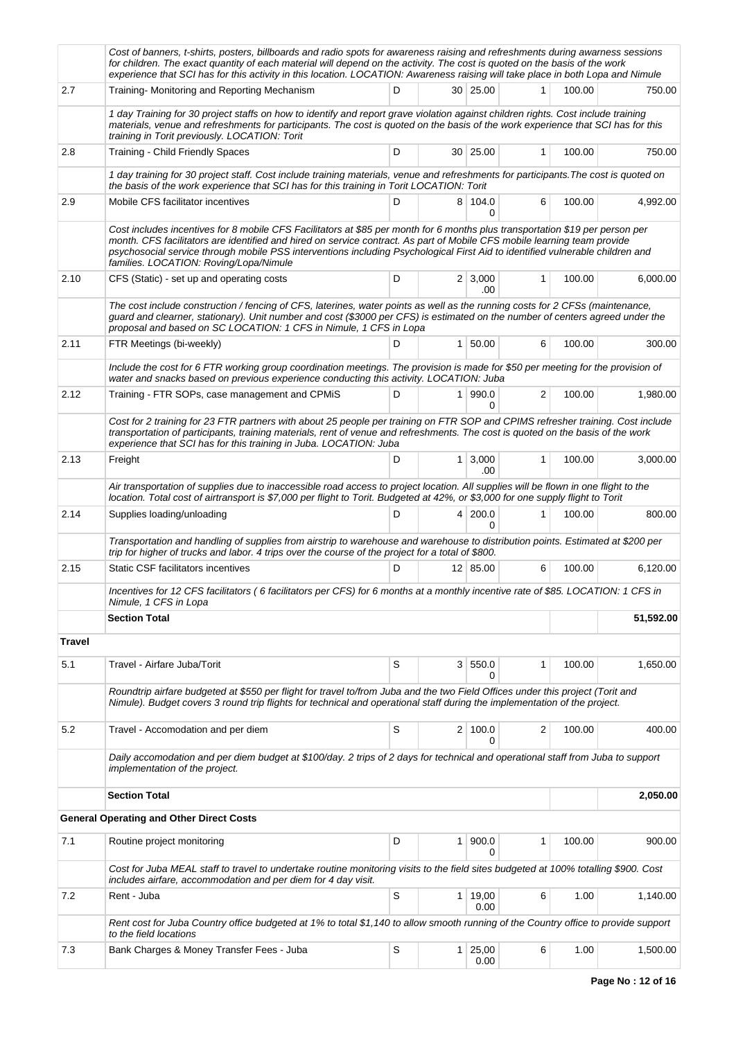|               | Cost of banners, t-shirts, posters, billboards and radio spots for awareness raising and refreshments during awarness sessions<br>for children. The exact quantity of each material will depend on the activity. The cost is quoted on the basis of the work<br>experience that SCI has for this activity in this location. LOCATION: Awareness raising will take place in both Lopa and Nimule                                      |   |                |                       |              |        |           |
|---------------|--------------------------------------------------------------------------------------------------------------------------------------------------------------------------------------------------------------------------------------------------------------------------------------------------------------------------------------------------------------------------------------------------------------------------------------|---|----------------|-----------------------|--------------|--------|-----------|
| 2.7           | Training- Monitoring and Reporting Mechanism                                                                                                                                                                                                                                                                                                                                                                                         | D |                | 30 25.00              | 1            | 100.00 | 750.00    |
|               | 1 day Training for 30 project staffs on how to identify and report grave violation against children rights. Cost include training<br>materials, venue and refreshments for participants. The cost is quoted on the basis of the work experience that SCI has for this<br>training in Torit previously. LOCATION: Torit                                                                                                               |   |                |                       |              |        |           |
| 2.8           | Training - Child Friendly Spaces                                                                                                                                                                                                                                                                                                                                                                                                     | D |                | 30   25.00            | $\mathbf{1}$ | 100.00 | 750.00    |
|               | 1 day training for 30 project staff. Cost include training materials, venue and refreshments for participants. The cost is quoted on<br>the basis of the work experience that SCI has for this training in Torit LOCATION: Torit                                                                                                                                                                                                     |   |                |                       |              |        |           |
| 2.9           | Mobile CFS facilitator incentives                                                                                                                                                                                                                                                                                                                                                                                                    | D |                | 8 104.0<br>$\Omega$   | 6            | 100.00 | 4,992.00  |
|               | Cost includes incentives for 8 mobile CFS Facilitators at \$85 per month for 6 months plus transportation \$19 per person per<br>month. CFS facilitators are identified and hired on service contract. As part of Mobile CFS mobile learning team provide<br>psychosocial service through mobile PSS interventions including Psychological First Aid to identified vulnerable children and<br>families. LOCATION: Roving/Lopa/Nimule |   |                |                       |              |        |           |
| 2.10          | CFS (Static) - set up and operating costs                                                                                                                                                                                                                                                                                                                                                                                            | D |                | $2 \mid 3,000$<br>.00 | 1            | 100.00 | 6,000.00  |
|               | The cost include construction / fencing of CFS, laterines, water points as well as the running costs for 2 CFSs (maintenance,<br>guard and clearner, stationary). Unit number and cost (\$3000 per CFS) is estimated on the number of centers agreed under the<br>proposal and based on SC LOCATION: 1 CFS in Nimule, 1 CFS in Lopa                                                                                                  |   |                |                       |              |        |           |
| 2.11          | FTR Meetings (bi-weekly)                                                                                                                                                                                                                                                                                                                                                                                                             | D |                | 1   50.00             | 6            | 100.00 | 300.00    |
|               | Include the cost for 6 FTR working group coordination meetings. The provision is made for \$50 per meeting for the provision of<br>water and snacks based on previous experience conducting this activity. LOCATION: Juba                                                                                                                                                                                                            |   |                |                       |              |        |           |
| 2.12          | Training - FTR SOPs, case management and CPMiS                                                                                                                                                                                                                                                                                                                                                                                       | D |                | 1 990.0<br>0          | 2            | 100.00 | 1,980.00  |
|               | Cost for 2 training for 23 FTR partners with about 25 people per training on FTR SOP and CPIMS refresher training. Cost include<br>transportation of participants, training materials, rent of venue and refreshments. The cost is quoted on the basis of the work<br>experience that SCI has for this training in Juba. LOCATION: Juba                                                                                              |   |                |                       |              |        |           |
| 2.13          | Freight                                                                                                                                                                                                                                                                                                                                                                                                                              | D |                | $1 \, 3,000$<br>.00.  | $\mathbf{1}$ | 100.00 | 3,000.00  |
|               | Air transportation of supplies due to inaccessible road access to project location. All supplies will be flown in one flight to the<br>location. Total cost of airtransport is \$7,000 per flight to Torit. Budgeted at 42%, or \$3,000 for one supply flight to Torit                                                                                                                                                               |   |                |                       |              |        |           |
| 2.14          | Supplies loading/unloading                                                                                                                                                                                                                                                                                                                                                                                                           | D |                | 4 200.0<br>0          | 1            | 100.00 | 800.00    |
|               | Transportation and handling of supplies from airstrip to warehouse and warehouse to distribution points. Estimated at \$200 per<br>trip for higher of trucks and labor. 4 trips over the course of the project for a total of \$800.                                                                                                                                                                                                 |   |                |                       |              |        |           |
| 2.15          | Static CSF facilitators incentives                                                                                                                                                                                                                                                                                                                                                                                                   | D |                | 12 85.00              | 6            | 100.00 | 6,120.00  |
|               | Incentives for 12 CFS facilitators (6 facilitators per CFS) for 6 months at a monthly incentive rate of \$85. LOCATION: 1 CFS in<br>Nimule, 1 CFS in Lopa                                                                                                                                                                                                                                                                            |   |                |                       |              |        |           |
|               | <b>Section Total</b>                                                                                                                                                                                                                                                                                                                                                                                                                 |   |                |                       |              |        | 51,592.00 |
| <b>Travel</b> |                                                                                                                                                                                                                                                                                                                                                                                                                                      |   |                |                       |              |        |           |
| 5.1           | Travel - Airfare Juba/Torit                                                                                                                                                                                                                                                                                                                                                                                                          | S | 3 <sup>1</sup> | 550.0<br>0            | 1            | 100.00 | 1,650.00  |
|               | Roundtrip airfare budgeted at \$550 per flight for travel to/from Juba and the two Field Offices under this project (Torit and<br>Nimule). Budget covers 3 round trip flights for technical and operational staff during the implementation of the project.                                                                                                                                                                          |   |                |                       |              |        |           |
| 5.2           | Travel - Accomodation and per diem                                                                                                                                                                                                                                                                                                                                                                                                   | S |                | 2 100.0<br>0          | 2            | 100.00 | 400.00    |
|               | Daily accomodation and per diem budget at \$100/day. 2 trips of 2 days for technical and operational staff from Juba to support<br>implementation of the project.                                                                                                                                                                                                                                                                    |   |                |                       |              |        |           |
|               | <b>Section Total</b>                                                                                                                                                                                                                                                                                                                                                                                                                 |   |                |                       |              |        | 2,050.00  |
|               | <b>General Operating and Other Direct Costs</b>                                                                                                                                                                                                                                                                                                                                                                                      |   |                |                       |              |        |           |
| 7.1           | Routine project monitoring                                                                                                                                                                                                                                                                                                                                                                                                           | D | 1 <sup>1</sup> | 900.0<br>0            | $\mathbf{1}$ | 100.00 | 900.00    |
|               | Cost for Juba MEAL staff to travel to undertake routine monitoring visits to the field sites budgeted at 100% totalling \$900. Cost<br>includes airfare, accommodation and per diem for 4 day visit.                                                                                                                                                                                                                                 |   |                |                       |              |        |           |
| 7.2           | Rent - Juba                                                                                                                                                                                                                                                                                                                                                                                                                          | S |                | 1 19,00<br>0.00       | 6            | 1.00   | 1,140.00  |
|               | Rent cost for Juba Country office budgeted at 1% to total \$1,140 to allow smooth running of the Country office to provide support<br>to the field locations                                                                                                                                                                                                                                                                         |   |                |                       |              |        |           |
| 7.3           | Bank Charges & Money Transfer Fees - Juba                                                                                                                                                                                                                                                                                                                                                                                            | S |                | 1 25,00<br>0.00       | 6            | 1.00   | 1,500.00  |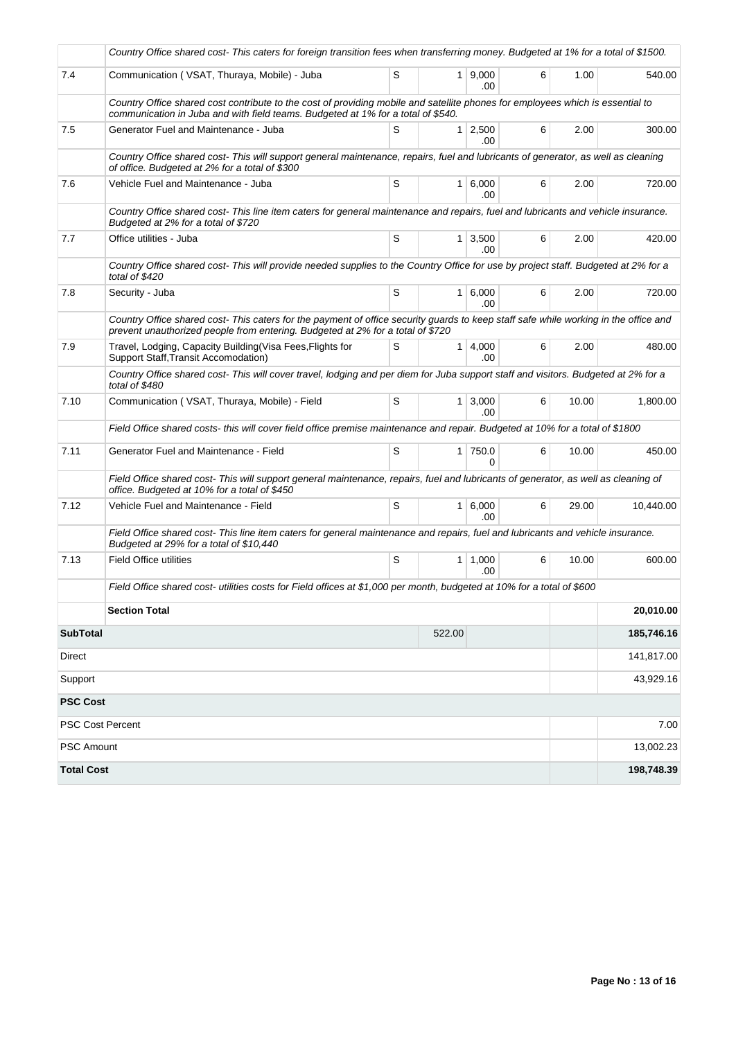|                   | Country Office shared cost- This caters for foreign transition fees when transferring money. Budgeted at 1% for a total of \$1500.                                                                                     |   |        |                        |   |       |            |
|-------------------|------------------------------------------------------------------------------------------------------------------------------------------------------------------------------------------------------------------------|---|--------|------------------------|---|-------|------------|
| 7.4               | Communication (VSAT, Thuraya, Mobile) - Juba                                                                                                                                                                           | S |        | $1 \ 9.000$<br>.00.    | 6 | 1.00  | 540.00     |
|                   | Country Office shared cost contribute to the cost of providing mobile and satellite phones for employees which is essential to<br>communication in Juba and with field teams. Budgeted at 1% for a total of \$540.     |   |        |                        |   |       |            |
| 7.5               | Generator Fuel and Maintenance - Juba                                                                                                                                                                                  | S |        | $1 \mid 2,500$<br>.00  | 6 | 2.00  | 300.00     |
|                   | Country Office shared cost- This will support general maintenance, repairs, fuel and lubricants of generator, as well as cleaning<br>of office. Budgeted at 2% for a total of \$300                                    |   |        |                        |   |       |            |
| 7.6               | Vehicle Fuel and Maintenance - Juba                                                                                                                                                                                    | S |        | $1 \, 6,000$<br>.00    | 6 | 2.00  | 720.00     |
|                   | Country Office shared cost-This line item caters for general maintenance and repairs, fuel and lubricants and vehicle insurance.<br>Budgeted at 2% for a total of \$720                                                |   |        |                        |   |       |            |
| 7.7               | Office utilities - Juba                                                                                                                                                                                                | S |        | $1 \mid 3,500$<br>.00. | 6 | 2.00  | 420.00     |
|                   | Country Office shared cost-This will provide needed supplies to the Country Office for use by project staff. Budgeted at 2% for a<br>total of \$420                                                                    |   |        |                        |   |       |            |
| 7.8               | Security - Juba                                                                                                                                                                                                        | S |        | 1 6,000<br>.00.        | 6 | 2.00  | 720.00     |
|                   | Country Office shared cost- This caters for the payment of office security guards to keep staff safe while working in the office and<br>prevent unauthorized people from entering. Budgeted at 2% for a total of \$720 |   |        |                        |   |       |            |
| 7.9               | Travel, Lodging, Capacity Building (Visa Fees, Flights for<br>Support Staff, Transit Accomodation)                                                                                                                     | S |        | 1   4,000<br>.00.      | 6 | 2.00  | 480.00     |
|                   | Country Office shared cost-This will cover travel, lodging and per diem for Juba support staff and visitors. Budgeted at 2% for a<br>total of \$480                                                                    |   |        |                        |   |       |            |
| 7.10              | Communication (VSAT, Thuraya, Mobile) - Field                                                                                                                                                                          | S |        | $1 \mid 3,000$<br>.00. | 6 | 10.00 | 1,800.00   |
|                   | Field Office shared costs- this will cover field office premise maintenance and repair. Budgeted at 10% for a total of \$1800                                                                                          |   |        |                        |   |       |            |
| 7.11              | Generator Fuel and Maintenance - Field                                                                                                                                                                                 | S |        | 1 750.0<br>$\Omega$    | 6 | 10.00 | 450.00     |
|                   | Field Office shared cost-This will support general maintenance, repairs, fuel and lubricants of generator, as well as cleaning of<br>office. Budgeted at 10% for a total of \$450                                      |   |        |                        |   |       |            |
| 7.12              | Vehicle Fuel and Maintenance - Field                                                                                                                                                                                   | S |        | 1   6,000<br>.00       | 6 | 29.00 | 10,440.00  |
|                   | Field Office shared cost- This line item caters for general maintenance and repairs, fuel and lubricants and vehicle insurance.<br>Budgeted at 29% for a total of \$10,440                                             |   |        |                        |   |       |            |
| 7.13              | <b>Field Office utilities</b>                                                                                                                                                                                          | S |        | $1 \mid 1,000$<br>.00. | 6 | 10.00 | 600.00     |
|                   | Field Office shared cost- utilities costs for Field offices at \$1,000 per month, budgeted at 10% for a total of \$600                                                                                                 |   |        |                        |   |       |            |
|                   | <b>Section Total</b>                                                                                                                                                                                                   |   |        |                        |   |       | 20,010.00  |
| <b>SubTotal</b>   |                                                                                                                                                                                                                        |   | 522.00 |                        |   |       | 185,746.16 |
| Direct            |                                                                                                                                                                                                                        |   |        |                        |   |       | 141,817.00 |
| Support           |                                                                                                                                                                                                                        |   |        |                        |   |       | 43,929.16  |
| <b>PSC Cost</b>   |                                                                                                                                                                                                                        |   |        |                        |   |       |            |
|                   | PSC Cost Percent                                                                                                                                                                                                       |   |        |                        |   |       | 7.00       |
| <b>PSC Amount</b> |                                                                                                                                                                                                                        |   |        |                        |   |       | 13,002.23  |
| <b>Total Cost</b> |                                                                                                                                                                                                                        |   |        |                        |   |       | 198,748.39 |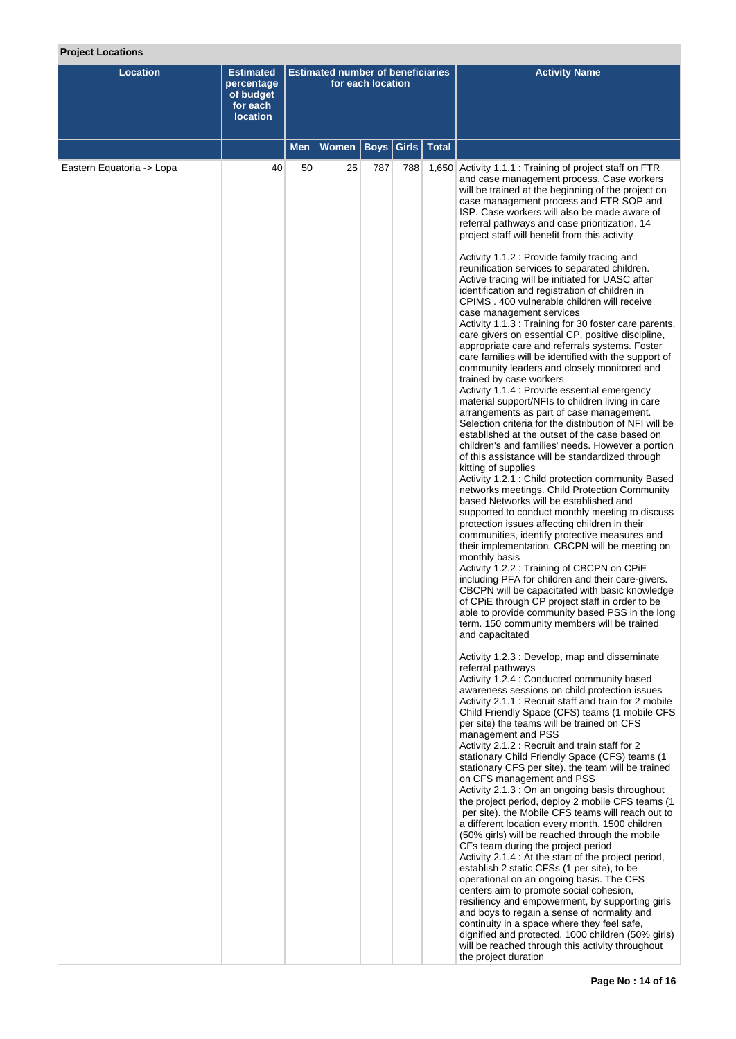# **Project Locations**

| <b>Location</b>           | <b>Estimated</b><br>percentage<br>of budget<br>for each<br><b>location</b> | <b>Estimated number of beneficiaries</b><br>for each location |       |             |               |              | <b>Activity Name</b>                                                                                                                                                                                                                                                                                                                                                                                                                                                                                                                                                                                                                                                                                                                                                                                                                                                                                                                                                                                                                                                                                                                                                                                                                                                                                                                                                                                                                                                                                                                                                                                                                                                            |
|---------------------------|----------------------------------------------------------------------------|---------------------------------------------------------------|-------|-------------|---------------|--------------|---------------------------------------------------------------------------------------------------------------------------------------------------------------------------------------------------------------------------------------------------------------------------------------------------------------------------------------------------------------------------------------------------------------------------------------------------------------------------------------------------------------------------------------------------------------------------------------------------------------------------------------------------------------------------------------------------------------------------------------------------------------------------------------------------------------------------------------------------------------------------------------------------------------------------------------------------------------------------------------------------------------------------------------------------------------------------------------------------------------------------------------------------------------------------------------------------------------------------------------------------------------------------------------------------------------------------------------------------------------------------------------------------------------------------------------------------------------------------------------------------------------------------------------------------------------------------------------------------------------------------------------------------------------------------------|
|                           |                                                                            | Men                                                           | Women | <b>Boys</b> | Girls $\vert$ | <b>Total</b> |                                                                                                                                                                                                                                                                                                                                                                                                                                                                                                                                                                                                                                                                                                                                                                                                                                                                                                                                                                                                                                                                                                                                                                                                                                                                                                                                                                                                                                                                                                                                                                                                                                                                                 |
| Eastern Equatoria -> Lopa | 40                                                                         | 50                                                            | 25    | 787         | 788           |              | 1,650 Activity 1.1.1 : Training of project staff on FTR<br>and case management process. Case workers<br>will be trained at the beginning of the project on<br>case management process and FTR SOP and<br>ISP. Case workers will also be made aware of<br>referral pathways and case prioritization. 14<br>project staff will benefit from this activity                                                                                                                                                                                                                                                                                                                                                                                                                                                                                                                                                                                                                                                                                                                                                                                                                                                                                                                                                                                                                                                                                                                                                                                                                                                                                                                         |
|                           |                                                                            |                                                               |       |             |               |              | Activity 1.1.2 : Provide family tracing and<br>reunification services to separated children.<br>Active tracing will be initiated for UASC after<br>identification and registration of children in<br>CPIMS . 400 vulnerable children will receive<br>case management services<br>Activity 1.1.3 : Training for 30 foster care parents,<br>care givers on essential CP, positive discipline,<br>appropriate care and referrals systems. Foster<br>care families will be identified with the support of<br>community leaders and closely monitored and<br>trained by case workers<br>Activity 1.1.4 : Provide essential emergency<br>material support/NFIs to children living in care<br>arrangements as part of case management.<br>Selection criteria for the distribution of NFI will be<br>established at the outset of the case based on<br>children's and families' needs. However a portion<br>of this assistance will be standardized through<br>kitting of supplies<br>Activity 1.2.1 : Child protection community Based<br>networks meetings. Child Protection Community<br>based Networks will be established and<br>supported to conduct monthly meeting to discuss<br>protection issues affecting children in their<br>communities, identify protective measures and<br>their implementation. CBCPN will be meeting on<br>monthly basis<br>Activity 1.2.2 : Training of CBCPN on CPiE<br>including PFA for children and their care-givers.<br>CBCPN will be capacitated with basic knowledge<br>of CPiE through CP project staff in order to be<br>able to provide community based PSS in the long<br>term. 150 community members will be trained<br>and capacitated |
|                           |                                                                            |                                                               |       |             |               |              | Activity 1.2.3 : Develop, map and disseminate<br>referral pathways<br>Activity 1.2.4 : Conducted community based<br>awareness sessions on child protection issues<br>Activity 2.1.1 : Recruit staff and train for 2 mobile<br>Child Friendly Space (CFS) teams (1 mobile CFS<br>per site) the teams will be trained on CFS<br>management and PSS<br>Activity 2.1.2 : Recruit and train staff for 2<br>stationary Child Friendly Space (CFS) teams (1<br>stationary CFS per site). the team will be trained<br>on CFS management and PSS<br>Activity 2.1.3 : On an ongoing basis throughout<br>the project period, deploy 2 mobile CFS teams (1<br>per site). the Mobile CFS teams will reach out to<br>a different location every month. 1500 children<br>(50% girls) will be reached through the mobile<br>CFs team during the project period<br>Activity 2.1.4 : At the start of the project period,<br>establish 2 static CFSs (1 per site), to be<br>operational on an ongoing basis. The CFS<br>centers aim to promote social cohesion,<br>resiliency and empowerment, by supporting girls<br>and boys to regain a sense of normality and<br>continuity in a space where they feel safe,<br>dignified and protected. 1000 children (50% girls)<br>will be reached through this activity throughout<br>the project duration                                                                                                                                                                                                                                                                                                                                                 |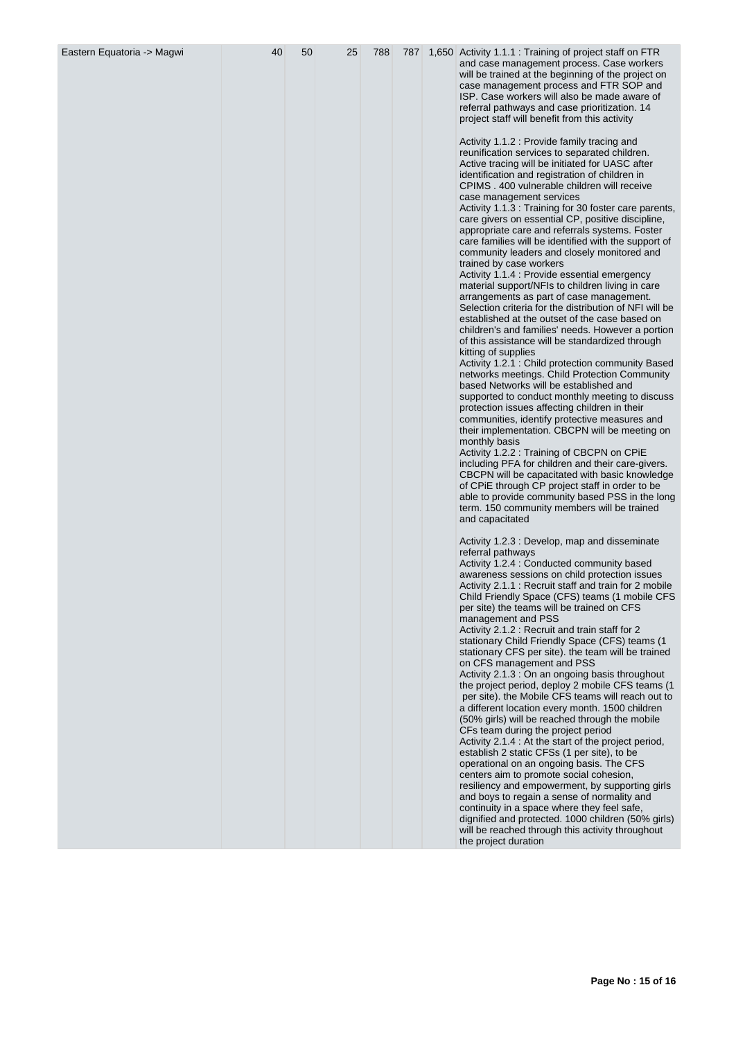| Eastern Equatoria -> Magwi | 40 | 50 | 25 | 788 |  | 787 1,650 Activity 1.1.1 : Training of project staff on FTR<br>and case management process. Case workers<br>will be trained at the beginning of the project on<br>case management process and FTR SOP and<br>ISP. Case workers will also be made aware of<br>referral pathways and case prioritization. 14<br>project staff will benefit from this activity<br>Activity 1.1.2 : Provide family tracing and<br>reunification services to separated children.<br>Active tracing will be initiated for UASC after<br>identification and registration of children in<br>CPIMS . 400 vulnerable children will receive<br>case management services<br>Activity 1.1.3 : Training for 30 foster care parents,<br>care givers on essential CP, positive discipline,<br>appropriate care and referrals systems. Foster<br>care families will be identified with the support of<br>community leaders and closely monitored and<br>trained by case workers                                                                                                                                                                                                                                                                                                                                                                                   |
|----------------------------|----|----|----|-----|--|----------------------------------------------------------------------------------------------------------------------------------------------------------------------------------------------------------------------------------------------------------------------------------------------------------------------------------------------------------------------------------------------------------------------------------------------------------------------------------------------------------------------------------------------------------------------------------------------------------------------------------------------------------------------------------------------------------------------------------------------------------------------------------------------------------------------------------------------------------------------------------------------------------------------------------------------------------------------------------------------------------------------------------------------------------------------------------------------------------------------------------------------------------------------------------------------------------------------------------------------------------------------------------------------------------------------------------|
|                            |    |    |    |     |  | Activity 1.1.4 : Provide essential emergency<br>material support/NFIs to children living in care<br>arrangements as part of case management.<br>Selection criteria for the distribution of NFI will be<br>established at the outset of the case based on<br>children's and families' needs. However a portion<br>of this assistance will be standardized through<br>kitting of supplies<br>Activity 1.2.1 : Child protection community Based<br>networks meetings. Child Protection Community<br>based Networks will be established and<br>supported to conduct monthly meeting to discuss<br>protection issues affecting children in their<br>communities, identify protective measures and<br>their implementation. CBCPN will be meeting on<br>monthly basis<br>Activity 1.2.2 : Training of CBCPN on CPIE<br>including PFA for children and their care-givers.<br>CBCPN will be capacitated with basic knowledge<br>of CPIE through CP project staff in order to be<br>able to provide community based PSS in the long<br>term. 150 community members will be trained<br>and capacitated                                                                                                                                                                                                                                     |
|                            |    |    |    |     |  | Activity 1.2.3 : Develop, map and disseminate<br>referral pathways<br>Activity 1.2.4 : Conducted community based<br>awareness sessions on child protection issues<br>Activity 2.1.1 : Recruit staff and train for 2 mobile<br>Child Friendly Space (CFS) teams (1 mobile CFS<br>per site) the teams will be trained on CFS<br>management and PSS<br>Activity 2.1.2 : Recruit and train staff for 2<br>stationary Child Friendly Space (CFS) teams (1<br>stationary CFS per site). the team will be trained<br>on CFS management and PSS<br>Activity 2.1.3 : On an ongoing basis throughout<br>the project period, deploy 2 mobile CFS teams (1)<br>per site). the Mobile CFS teams will reach out to<br>a different location every month. 1500 children<br>(50% girls) will be reached through the mobile<br>CFs team during the project period<br>Activity 2.1.4 : At the start of the project period,<br>establish 2 static CFSs (1 per site), to be<br>operational on an ongoing basis. The CFS<br>centers aim to promote social cohesion,<br>resiliency and empowerment, by supporting girls<br>and boys to regain a sense of normality and<br>continuity in a space where they feel safe,<br>dignified and protected. 1000 children (50% girls)<br>will be reached through this activity throughout<br>the project duration |